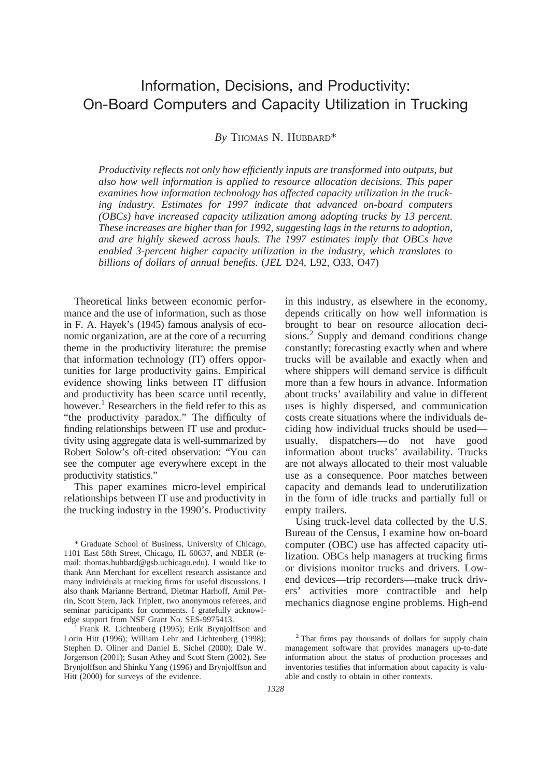# Information, Decisions, and Productivity: On-Board Computers and Capacity Utilization in Trucking

*By* THOMAS N. HUBBARD\*

*Productivity reflects not only how efficiently inputs are transformed into outputs, but also how well information is applied to resource allocation decisions. This paper examines how information technology has affected capacity utilization in the trucking industry. Estimates for 1997 indicate that advanced on-board computers (OBCs) have increased capacity utilization among adopting trucks by 13 percent. These increases are higher than for 1992, suggesting lags in the returns to adoption, and are highly skewed across hauls. The 1997 estimates imply that OBCs have enabled 3-percent higher capacity utilization in the industry, which translates to billions of dollars of annual benefits.* (*JEL* D24, L92, O33, O47)

Theoretical links between economic performance and the use of information, such as those in F. A. Hayek's (1945) famous analysis of economic organization, are at the core of a recurring theme in the productivity literature: the premise that information technology (IT) offers opportunities for large productivity gains. Empirical evidence showing links between IT diffusion and productivity has been scarce until recently, however.<sup>1</sup> Researchers in the field refer to this as "the productivity paradox." The difficulty of finding relationships between IT use and productivity using aggregate data is well-summarized by Robert Solow's oft-cited observation: "You can see the computer age everywhere except in the productivity statistics."

This paper examines micro-level empirical relationships between IT use and productivity in the trucking industry in the 1990's. Productivity

\* Graduate School of Business, University of Chicago, 1101 East 58th Street, Chicago, IL 60637, and NBER (email: thomas.hubbard@gsb.uchicago.edu). I would like to thank Ann Merchant for excellent research assistance and many individuals at trucking firms for useful discussions. I also thank Marianne Bertrand, Dietmar Harhoff, Amil Petrin, Scott Stern, Jack Triplett, two anonymous referees, and seminar participants for comments. I gratefully acknowledge support from NSF Grant No. SES-9975413.

Frank R. Lichtenberg (1995); Erik Brynjolffson and Lorin Hitt (1996); William Lehr and Lichtenberg (1998); Stephen D. Oliner and Daniel E. Sichel (2000); Dale W. Jorgenson (2001); Susan Athey and Scott Stern (2002). See Brynjolffson and Shinku Yang (1996) and Brynjolffson and Hitt (2000) for surveys of the evidence.

in this industry, as elsewhere in the economy, depends critically on how well information is brought to bear on resource allocation decisions.<sup>2</sup> Supply and demand conditions change constantly; forecasting exactly when and where trucks will be available and exactly when and where shippers will demand service is difficult more than a few hours in advance. Information about trucks' availability and value in different uses is highly dispersed, and communication costs create situations where the individuals deciding how individual trucks should be used usually, dispatchers—do not have good information about trucks' availability. Trucks are not always allocated to their most valuable use as a consequence. Poor matches between capacity and demands lead to underutilization in the form of idle trucks and partially full or empty trailers.

Using truck-level data collected by the U.S. Bureau of the Census, I examine how on-board computer (OBC) use has affected capacity utilization. OBCs help managers at trucking firms or divisions monitor trucks and drivers. Lowend devices—trip recorders—make truck drivers' activities more contractible and help mechanics diagnose engine problems. High-end

<sup>2</sup> That firms pay thousands of dollars for supply chain management software that provides managers up-to-date information about the status of production processes and inventories testifies that information about capacity is valuable and costly to obtain in other contexts.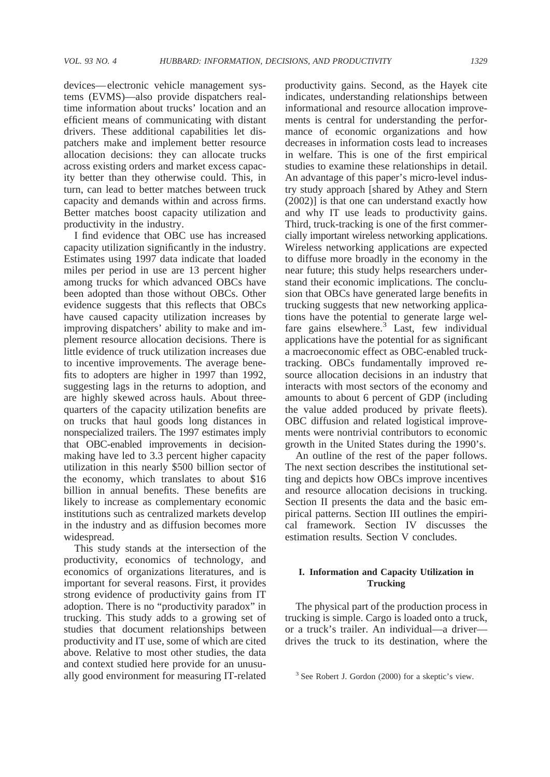devices—electronic vehicle management systems (EVMS)—also provide dispatchers realtime information about trucks' location and an efficient means of communicating with distant drivers. These additional capabilities let dispatchers make and implement better resource allocation decisions: they can allocate trucks across existing orders and market excess capacity better than they otherwise could. This, in turn, can lead to better matches between truck capacity and demands within and across firms. Better matches boost capacity utilization and productivity in the industry.

I find evidence that OBC use has increased capacity utilization significantly in the industry. Estimates using 1997 data indicate that loaded miles per period in use are 13 percent higher among trucks for which advanced OBCs have been adopted than those without OBCs. Other evidence suggests that this reflects that OBCs have caused capacity utilization increases by improving dispatchers' ability to make and implement resource allocation decisions. There is little evidence of truck utilization increases due to incentive improvements. The average benefits to adopters are higher in 1997 than 1992, suggesting lags in the returns to adoption, and are highly skewed across hauls. About threequarters of the capacity utilization benefits are on trucks that haul goods long distances in nonspecialized trailers. The 1997 estimates imply that OBC-enabled improvements in decisionmaking have led to 3.3 percent higher capacity utilization in this nearly \$500 billion sector of the economy, which translates to about \$16 billion in annual benefits. These benefits are likely to increase as complementary economic institutions such as centralized markets develop in the industry and as diffusion becomes more widespread.

This study stands at the intersection of the productivity, economics of technology, and economics of organizations literatures, and is important for several reasons. First, it provides strong evidence of productivity gains from IT adoption. There is no "productivity paradox" in trucking. This study adds to a growing set of studies that document relationships between productivity and IT use, some of which are cited above. Relative to most other studies, the data and context studied here provide for an unusually good environment for measuring IT-related productivity gains. Second, as the Hayek cite indicates, understanding relationships between informational and resource allocation improvements is central for understanding the performance of economic organizations and how decreases in information costs lead to increases in welfare. This is one of the first empirical studies to examine these relationships in detail. An advantage of this paper's micro-level industry study approach [shared by Athey and Stern (2002)] is that one can understand exactly how and why IT use leads to productivity gains. Third, truck-tracking is one of the first commercially important wireless networking applications. Wireless networking applications are expected to diffuse more broadly in the economy in the near future; this study helps researchers understand their economic implications. The conclusion that OBCs have generated large benefits in trucking suggests that new networking applications have the potential to generate large welfare gains elsewhere.<sup>3</sup> Last, few individual applications have the potential for as significant a macroeconomic effect as OBC-enabled trucktracking. OBCs fundamentally improved resource allocation decisions in an industry that interacts with most sectors of the economy and amounts to about 6 percent of GDP (including the value added produced by private fleets). OBC diffusion and related logistical improvements were nontrivial contributors to economic growth in the United States during the 1990's.

An outline of the rest of the paper follows. The next section describes the institutional setting and depicts how OBCs improve incentives and resource allocation decisions in trucking. Section II presents the data and the basic empirical patterns. Section III outlines the empirical framework. Section IV discusses the estimation results. Section V concludes.

# **I. Information and Capacity Utilization in Trucking**

The physical part of the production process in trucking is simple. Cargo is loaded onto a truck, or a truck's trailer. An individual—a driver drives the truck to its destination, where the

<sup>3</sup> See Robert J. Gordon (2000) for a skeptic's view.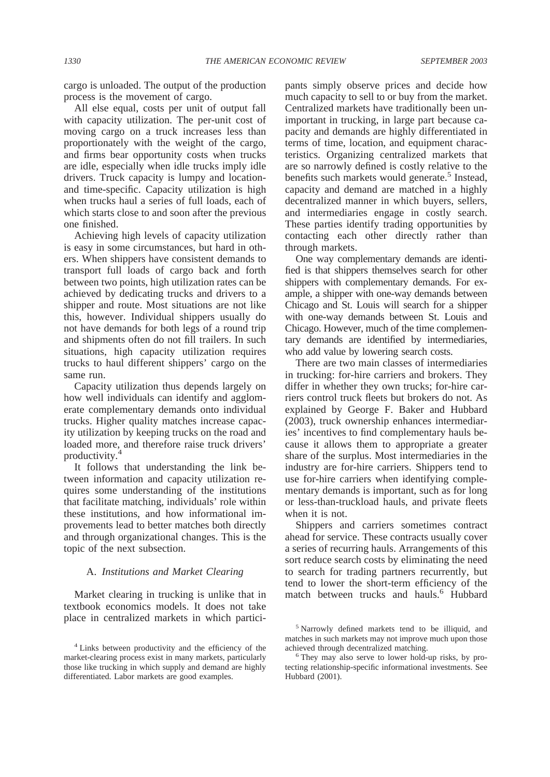cargo is unloaded. The output of the production process is the movement of cargo.

All else equal, costs per unit of output fall with capacity utilization. The per-unit cost of moving cargo on a truck increases less than proportionately with the weight of the cargo, and firms bear opportunity costs when trucks are idle, especially when idle trucks imply idle drivers. Truck capacity is lumpy and locationand time-specific. Capacity utilization is high when trucks haul a series of full loads, each of which starts close to and soon after the previous one finished.

Achieving high levels of capacity utilization is easy in some circumstances, but hard in others. When shippers have consistent demands to transport full loads of cargo back and forth between two points, high utilization rates can be achieved by dedicating trucks and drivers to a shipper and route. Most situations are not like this, however. Individual shippers usually do not have demands for both legs of a round trip and shipments often do not fill trailers. In such situations, high capacity utilization requires trucks to haul different shippers' cargo on the same run.

Capacity utilization thus depends largely on how well individuals can identify and agglomerate complementary demands onto individual trucks. Higher quality matches increase capacity utilization by keeping trucks on the road and loaded more, and therefore raise truck drivers' productivity.4

It follows that understanding the link between information and capacity utilization requires some understanding of the institutions that facilitate matching, individuals' role within these institutions, and how informational improvements lead to better matches both directly and through organizational changes. This is the topic of the next subsection.

## A. *Institutions and Market Clearing*

Market clearing in trucking is unlike that in textbook economics models. It does not take place in centralized markets in which participants simply observe prices and decide how much capacity to sell to or buy from the market. Centralized markets have traditionally been unimportant in trucking, in large part because capacity and demands are highly differentiated in terms of time, location, and equipment characteristics. Organizing centralized markets that are so narrowly defined is costly relative to the benefits such markets would generate.<sup>5</sup> Instead, capacity and demand are matched in a highly decentralized manner in which buyers, sellers, and intermediaries engage in costly search. These parties identify trading opportunities by contacting each other directly rather than through markets.

One way complementary demands are identified is that shippers themselves search for other shippers with complementary demands. For example, a shipper with one-way demands between Chicago and St. Louis will search for a shipper with one-way demands between St. Louis and Chicago. However, much of the time complementary demands are identified by intermediaries, who add value by lowering search costs.

There are two main classes of intermediaries in trucking: for-hire carriers and brokers. They differ in whether they own trucks; for-hire carriers control truck fleets but brokers do not. As explained by George F. Baker and Hubbard (2003), truck ownership enhances intermediaries' incentives to find complementary hauls because it allows them to appropriate a greater share of the surplus. Most intermediaries in the industry are for-hire carriers. Shippers tend to use for-hire carriers when identifying complementary demands is important, such as for long or less-than-truckload hauls, and private fleets when it is not.

Shippers and carriers sometimes contract ahead for service. These contracts usually cover a series of recurring hauls. Arrangements of this sort reduce search costs by eliminating the need to search for trading partners recurrently, but tend to lower the short-term efficiency of the match between trucks and hauls.<sup>6</sup> Hubbard

<sup>4</sup> Links between productivity and the efficiency of the market-clearing process exist in many markets, particularly those like trucking in which supply and demand are highly differentiated. Labor markets are good examples.

<sup>5</sup> Narrowly defined markets tend to be illiquid, and matches in such markets may not improve much upon those achieved through decentralized matching. <sup>6</sup> They may also serve to lower hold-up risks, by pro-

tecting relationship-specific informational investments. See Hubbard (2001).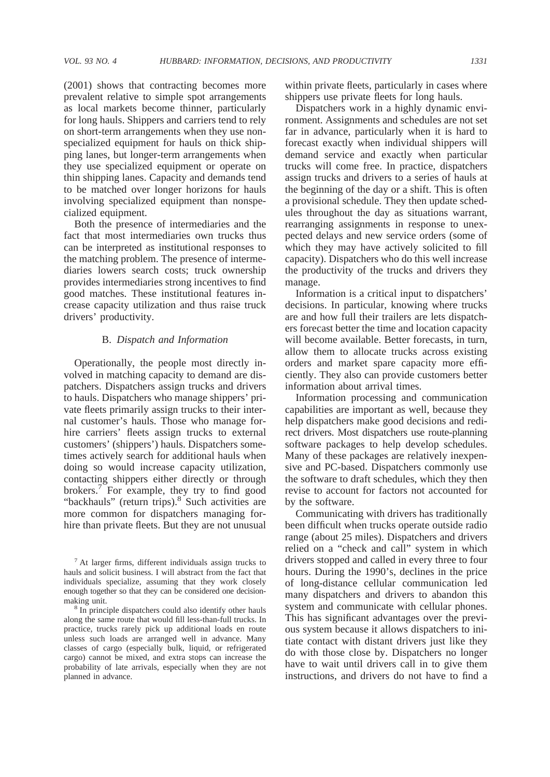(2001) shows that contracting becomes more prevalent relative to simple spot arrangements as local markets become thinner, particularly for long hauls. Shippers and carriers tend to rely on short-term arrangements when they use nonspecialized equipment for hauls on thick shipping lanes, but longer-term arrangements when they use specialized equipment or operate on thin shipping lanes. Capacity and demands tend to be matched over longer horizons for hauls involving specialized equipment than nonspecialized equipment.

Both the presence of intermediaries and the fact that most intermediaries own trucks thus can be interpreted as institutional responses to the matching problem. The presence of intermediaries lowers search costs; truck ownership provides intermediaries strong incentives to find good matches. These institutional features increase capacity utilization and thus raise truck drivers' productivity.

## B. *Dispatch and Information*

Operationally, the people most directly involved in matching capacity to demand are dispatchers. Dispatchers assign trucks and drivers to hauls. Dispatchers who manage shippers' private fleets primarily assign trucks to their internal customer's hauls. Those who manage forhire carriers' fleets assign trucks to external customers' (shippers') hauls. Dispatchers sometimes actively search for additional hauls when doing so would increase capacity utilization, contacting shippers either directly or through brokers.<sup>7</sup> For example, they try to find good "backhauls" (return trips).<sup>8</sup> Such activities are more common for dispatchers managing forhire than private fleets. But they are not unusual within private fleets, particularly in cases where shippers use private fleets for long hauls.

Dispatchers work in a highly dynamic environment. Assignments and schedules are not set far in advance, particularly when it is hard to forecast exactly when individual shippers will demand service and exactly when particular trucks will come free. In practice, dispatchers assign trucks and drivers to a series of hauls at the beginning of the day or a shift. This is often a provisional schedule. They then update schedules throughout the day as situations warrant, rearranging assignments in response to unexpected delays and new service orders (some of which they may have actively solicited to fill capacity). Dispatchers who do this well increase the productivity of the trucks and drivers they manage.

Information is a critical input to dispatchers' decisions. In particular, knowing where trucks are and how full their trailers are lets dispatchers forecast better the time and location capacity will become available. Better forecasts, in turn, allow them to allocate trucks across existing orders and market spare capacity more efficiently. They also can provide customers better information about arrival times.

Information processing and communication capabilities are important as well, because they help dispatchers make good decisions and redirect drivers. Most dispatchers use route-planning software packages to help develop schedules. Many of these packages are relatively inexpensive and PC-based. Dispatchers commonly use the software to draft schedules, which they then revise to account for factors not accounted for by the software.

Communicating with drivers has traditionally been difficult when trucks operate outside radio range (about 25 miles). Dispatchers and drivers relied on a "check and call" system in which drivers stopped and called in every three to four hours. During the 1990's, declines in the price of long-distance cellular communication led many dispatchers and drivers to abandon this system and communicate with cellular phones. This has significant advantages over the previous system because it allows dispatchers to initiate contact with distant drivers just like they do with those close by. Dispatchers no longer have to wait until drivers call in to give them instructions, and drivers do not have to find a

 $<sup>7</sup>$  At larger firms, different individuals assign trucks to</sup> hauls and solicit business. I will abstract from the fact that individuals specialize, assuming that they work closely enough together so that they can be considered one decision-

making unit.<br><sup>8</sup> In principle dispatchers could also identify other hauls along the same route that would fill less-than-full trucks. In practice, trucks rarely pick up additional loads en route unless such loads are arranged well in advance. Many classes of cargo (especially bulk, liquid, or refrigerated cargo) cannot be mixed, and extra stops can increase the probability of late arrivals, especially when they are not planned in advance.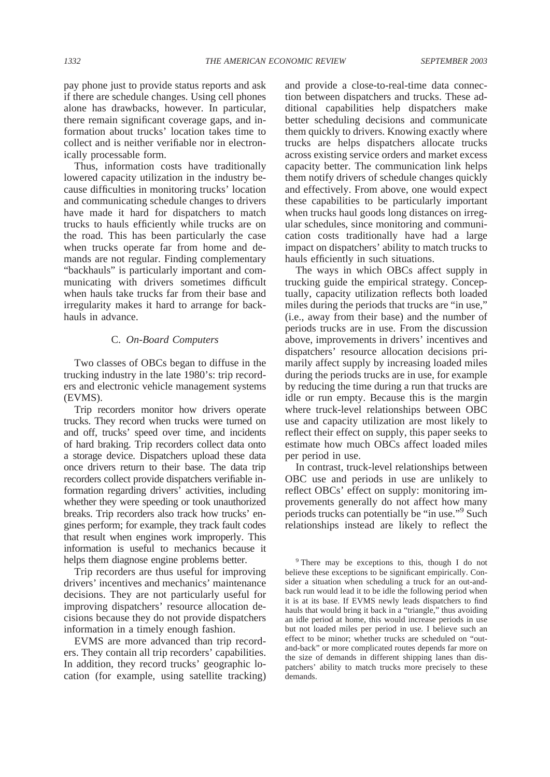pay phone just to provide status reports and ask if there are schedule changes. Using cell phones alone has drawbacks, however. In particular, there remain significant coverage gaps, and information about trucks' location takes time to collect and is neither verifiable nor in electronically processable form.

Thus, information costs have traditionally lowered capacity utilization in the industry because difficulties in monitoring trucks' location and communicating schedule changes to drivers have made it hard for dispatchers to match trucks to hauls efficiently while trucks are on the road. This has been particularly the case when trucks operate far from home and demands are not regular. Finding complementary "backhauls" is particularly important and communicating with drivers sometimes difficult when hauls take trucks far from their base and irregularity makes it hard to arrange for backhauls in advance.

#### C. *On-Board Computers*

Two classes of OBCs began to diffuse in the trucking industry in the late 1980's: trip recorders and electronic vehicle management systems (EVMS).

Trip recorders monitor how drivers operate trucks. They record when trucks were turned on and off, trucks' speed over time, and incidents of hard braking. Trip recorders collect data onto a storage device. Dispatchers upload these data once drivers return to their base. The data trip recorders collect provide dispatchers verifiable information regarding drivers' activities, including whether they were speeding or took unauthorized breaks. Trip recorders also track how trucks' engines perform; for example, they track fault codes that result when engines work improperly. This information is useful to mechanics because it helps them diagnose engine problems better.

Trip recorders are thus useful for improving drivers' incentives and mechanics' maintenance decisions. They are not particularly useful for improving dispatchers' resource allocation decisions because they do not provide dispatchers information in a timely enough fashion.

EVMS are more advanced than trip recorders. They contain all trip recorders' capabilities. In addition, they record trucks' geographic location (for example, using satellite tracking) and provide a close-to-real-time data connection between dispatchers and trucks. These additional capabilities help dispatchers make better scheduling decisions and communicate them quickly to drivers. Knowing exactly where trucks are helps dispatchers allocate trucks across existing service orders and market excess capacity better. The communication link helps them notify drivers of schedule changes quickly and effectively. From above, one would expect these capabilities to be particularly important when trucks haul goods long distances on irregular schedules, since monitoring and communication costs traditionally have had a large impact on dispatchers' ability to match trucks to hauls efficiently in such situations.

The ways in which OBCs affect supply in trucking guide the empirical strategy. Conceptually, capacity utilization reflects both loaded miles during the periods that trucks are "in use," (i.e., away from their base) and the number of periods trucks are in use. From the discussion above, improvements in drivers' incentives and dispatchers' resource allocation decisions primarily affect supply by increasing loaded miles during the periods trucks are in use, for example by reducing the time during a run that trucks are idle or run empty. Because this is the margin where truck-level relationships between OBC use and capacity utilization are most likely to reflect their effect on supply, this paper seeks to estimate how much OBCs affect loaded miles per period in use.

In contrast, truck-level relationships between OBC use and periods in use are unlikely to reflect OBCs' effect on supply: monitoring improvements generally do not affect how many periods trucks can potentially be "in use."<sup>9</sup> Such relationships instead are likely to reflect the

<sup>9</sup> There may be exceptions to this, though I do not believe these exceptions to be significant empirically. Consider a situation when scheduling a truck for an out-andback run would lead it to be idle the following period when it is at its base. If EVMS newly leads dispatchers to find hauls that would bring it back in a "triangle," thus avoiding an idle period at home, this would increase periods in use but not loaded miles per period in use. I believe such an effect to be minor; whether trucks are scheduled on "outand-back" or more complicated routes depends far more on the size of demands in different shipping lanes than dispatchers' ability to match trucks more precisely to these demands.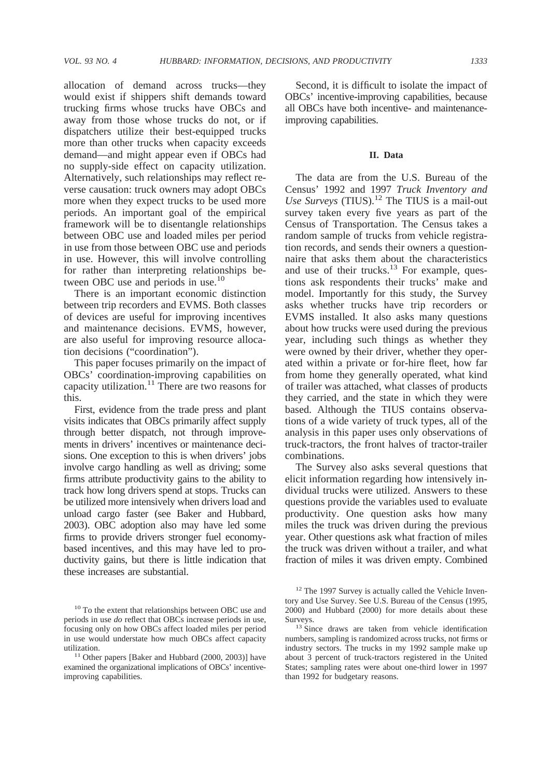allocation of demand across trucks—they would exist if shippers shift demands toward trucking firms whose trucks have OBCs and away from those whose trucks do not, or if dispatchers utilize their best-equipped trucks more than other trucks when capacity exceeds demand—and might appear even if OBCs had no supply-side effect on capacity utilization. Alternatively, such relationships may reflect reverse causation: truck owners may adopt OBCs more when they expect trucks to be used more periods. An important goal of the empirical framework will be to disentangle relationships between OBC use and loaded miles per period in use from those between OBC use and periods in use. However, this will involve controlling for rather than interpreting relationships between OBC use and periods in use.<sup>10</sup>

There is an important economic distinction between trip recorders and EVMS. Both classes of devices are useful for improving incentives and maintenance decisions. EVMS, however, are also useful for improving resource allocation decisions ("coordination").

This paper focuses primarily on the impact of OBCs' coordination-improving capabilities on capacity utilization.<sup>11</sup> There are two reasons for this.

First, evidence from the trade press and plant visits indicates that OBCs primarily affect supply through better dispatch, not through improvements in drivers' incentives or maintenance decisions. One exception to this is when drivers' jobs involve cargo handling as well as driving; some firms attribute productivity gains to the ability to track how long drivers spend at stops. Trucks can be utilized more intensively when drivers load and unload cargo faster (see Baker and Hubbard, 2003). OBC adoption also may have led some firms to provide drivers stronger fuel economybased incentives, and this may have led to productivity gains, but there is little indication that these increases are substantial.

Second, it is difficult to isolate the impact of OBCs' incentive-improving capabilities, because all OBCs have both incentive- and maintenanceimproving capabilities.

#### **II. Data**

The data are from the U.S. Bureau of the Census' 1992 and 1997 *Truck Inventory and Use Surveys* (TIUS).<sup>12</sup> The TIUS is a mail-out survey taken every five years as part of the Census of Transportation. The Census takes a random sample of trucks from vehicle registration records, and sends their owners a questionnaire that asks them about the characteristics and use of their trucks.<sup>13</sup> For example, questions ask respondents their trucks' make and model. Importantly for this study, the Survey asks whether trucks have trip recorders or EVMS installed. It also asks many questions about how trucks were used during the previous year, including such things as whether they were owned by their driver, whether they operated within a private or for-hire fleet, how far from home they generally operated, what kind of trailer was attached, what classes of products they carried, and the state in which they were based. Although the TIUS contains observations of a wide variety of truck types, all of the analysis in this paper uses only observations of truck-tractors, the front halves of tractor-trailer combinations.

The Survey also asks several questions that elicit information regarding how intensively individual trucks were utilized. Answers to these questions provide the variables used to evaluate productivity. One question asks how many miles the truck was driven during the previous year. Other questions ask what fraction of miles the truck was driven without a trailer, and what fraction of miles it was driven empty. Combined

<sup>&</sup>lt;sup>10</sup> To the extent that relationships between OBC use and periods in use *do* reflect that OBCs increase periods in use, focusing only on how OBCs affect loaded miles per period in use would understate how much OBCs affect capacity utilization. <sup>11</sup> Other papers [Baker and Hubbard (2000, 2003)] have

examined the organizational implications of OBCs' incentiveimproving capabilities.

<sup>&</sup>lt;sup>12</sup> The 1997 Survey is actually called the Vehicle Inventory and Use Survey. See U.S. Bureau of the Census (1995, 2000) and Hubbard (2000) for more details about these Surveys. <sup>13</sup> Since draws are taken from vehicle identification

numbers, sampling is randomized across trucks, not firms or industry sectors. The trucks in my 1992 sample make up about 3 percent of truck-tractors registered in the United States; sampling rates were about one-third lower in 1997 than 1992 for budgetary reasons.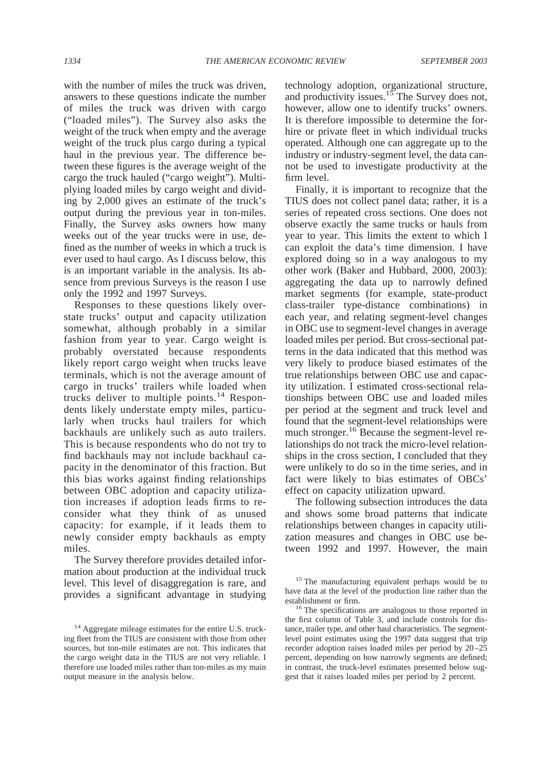with the number of miles the truck was driven. answers to these questions indicate the number of miles the truck was driven with cargo ("loaded miles"). The Survey also asks the weight of the truck when empty and the average weight of the truck plus cargo during a typical haul in the previous year. The difference between these figures is the average weight of the cargo the truck hauled ("cargo weight"). Multiplying loaded miles by cargo weight and dividing by 2,000 gives an estimate of the truck's output during the previous year in ton-miles. Finally, the Survey asks owners how many weeks out of the year trucks were in use, defined as the number of weeks in which a truck is ever used to haul cargo. As I discuss below, this is an important variable in the analysis. Its absence from previous Surveys is the reason I use only the 1992 and 1997 Surveys.

Responses to these questions likely overstate trucks' output and capacity utilization somewhat, although probably in a similar fashion from year to year. Cargo weight is probably overstated because respondents likely report cargo weight when trucks leave terminals, which is not the average amount of cargo in trucks' trailers while loaded when trucks deliver to multiple points.<sup>14</sup> Respondents likely understate empty miles, particularly when trucks haul trailers for which backhauls are unlikely such as auto trailers. This is because respondents who do not try to find backhauls may not include backhaul capacity in the denominator of this fraction. But this bias works against finding relationships between OBC adoption and capacity utilization increases if adoption leads firms to reconsider what they think of as unused capacity: for example, if it leads them to newly consider empty backhauls as empty miles.

The Survey therefore provides detailed information about production at the individual truck level. This level of disaggregation is rare, and provides a significant advantage in studying

technology adoption, organizational structure, and productivity issues.<sup>15</sup> The Survey does not, however, allow one to identify trucks' owners. It is therefore impossible to determine the forhire or private fleet in which individual trucks operated. Although one can aggregate up to the industry or industry-segment level, the data cannot be used to investigate productivity at the firm level.

Finally, it is important to recognize that the TIUS does not collect panel data; rather, it is a series of repeated cross sections. One does not observe exactly the same trucks or hauls from year to year. This limits the extent to which I can exploit the data's time dimension. I have explored doing so in a way analogous to my other work (Baker and Hubbard, 2000, 2003): aggregating the data up to narrowly defined market segments (for example, state-product class-trailer type-distance combinations) in each year, and relating segment-level changes in OBC use to segment-level changes in average loaded miles per period. But cross-sectional patterns in the data indicated that this method was very likely to produce biased estimates of the true relationships between OBC use and capacity utilization. I estimated cross-sectional relationships between OBC use and loaded miles per period at the segment and truck level and found that the segment-level relationships were much stronger.<sup>16</sup> Because the segment-level relationships do not track the micro-level relationships in the cross section, I concluded that they were unlikely to do so in the time series, and in fact were likely to bias estimates of OBCs' effect on capacity utilization upward.

The following subsection introduces the data and shows some broad patterns that indicate relationships between changes in capacity utilization measures and changes in OBC use between 1992 and 1997. However, the main

<sup>&</sup>lt;sup>14</sup> Aggregate mileage estimates for the entire U.S. trucking fleet from the TIUS are consistent with those from other sources, but ton-mile estimates are not. This indicates that the cargo weight data in the TIUS are not very reliable. I therefore use loaded miles rather than ton-miles as my main output measure in the analysis below.

<sup>&</sup>lt;sup>15</sup> The manufacturing equivalent perhaps would be to have data at the level of the production line rather than the establishment or firm.<br><sup>16</sup> The specifications are analogous to those reported in

the first column of Table 3, and include controls for distance, trailer type, and other haul characteristics. The segmentlevel point estimates using the 1997 data suggest that trip recorder adoption raises loaded miles per period by 20–25 percent, depending on how narrowly segments are defined; in contrast, the truck-level estimates presented below suggest that it raises loaded miles per period by 2 percent.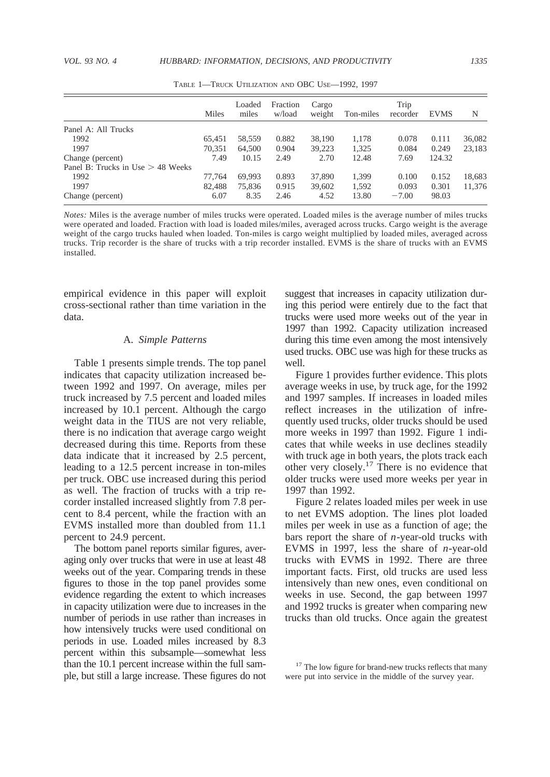|                                     |        | Loaded | Fraction | Cargo  |           | Trip     |             |        |
|-------------------------------------|--------|--------|----------|--------|-----------|----------|-------------|--------|
|                                     | Miles  | miles  | w/load   | weight | Ton-miles | recorder | <b>EVMS</b> | N      |
| Panel A: All Trucks                 |        |        |          |        |           |          |             |        |
| 1992                                | 65.451 | 58.559 | 0.882    | 38.190 | 1.178     | 0.078    | 0.111       | 36,082 |
| 1997                                | 70.351 | 64,500 | 0.904    | 39,223 | 1,325     | 0.084    | 0.249       | 23,183 |
| Change (percent)                    | 7.49   | 10.15  | 2.49     | 2.70   | 12.48     | 7.69     | 124.32      |        |
| Panel B: Trucks in Use $>$ 48 Weeks |        |        |          |        |           |          |             |        |
| 1992                                | 77.764 | 69.993 | 0.893    | 37,890 | 1.399     | 0.100    | 0.152       | 18,683 |
| 1997                                | 82.488 | 75,836 | 0.915    | 39,602 | 1,592     | 0.093    | 0.301       | 11.376 |
| Change (percent)                    | 6.07   | 8.35   | 2.46     | 4.52   | 13.80     | $-7.00$  | 98.03       |        |

TABLE 1—TRUCK UTILIZATION AND OBC USE—1992, 1997

*Notes:* Miles is the average number of miles trucks were operated. Loaded miles is the average number of miles trucks were operated and loaded. Fraction with load is loaded miles/miles, averaged across trucks. Cargo weight is the average weight of the cargo trucks hauled when loaded. Ton-miles is cargo weight multiplied by loaded miles, averaged across trucks. Trip recorder is the share of trucks with a trip recorder installed. EVMS is the share of trucks with an EVMS installed.

empirical evidence in this paper will exploit cross-sectional rather than time variation in the data.

#### A. *Simple Patterns*

Table 1 presents simple trends. The top panel indicates that capacity utilization increased between 1992 and 1997. On average, miles per truck increased by 7.5 percent and loaded miles increased by 10.1 percent. Although the cargo weight data in the TIUS are not very reliable, there is no indication that average cargo weight decreased during this time. Reports from these data indicate that it increased by 2.5 percent, leading to a 12.5 percent increase in ton-miles per truck. OBC use increased during this period as well. The fraction of trucks with a trip recorder installed increased slightly from 7.8 percent to 8.4 percent, while the fraction with an EVMS installed more than doubled from 11.1 percent to 24.9 percent.

The bottom panel reports similar figures, averaging only over trucks that were in use at least 48 weeks out of the year. Comparing trends in these figures to those in the top panel provides some evidence regarding the extent to which increases in capacity utilization were due to increases in the number of periods in use rather than increases in how intensively trucks were used conditional on periods in use. Loaded miles increased by 8.3 percent within this subsample—somewhat less than the 10.1 percent increase within the full sample, but still a large increase. These figures do not suggest that increases in capacity utilization during this period were entirely due to the fact that trucks were used more weeks out of the year in 1997 than 1992. Capacity utilization increased during this time even among the most intensively used trucks. OBC use was high for these trucks as well.

Figure 1 provides further evidence. This plots average weeks in use, by truck age, for the 1992 and 1997 samples. If increases in loaded miles reflect increases in the utilization of infrequently used trucks, older trucks should be used more weeks in 1997 than 1992. Figure 1 indicates that while weeks in use declines steadily with truck age in both years, the plots track each other very closely.<sup>17</sup> There is no evidence that older trucks were used more weeks per year in 1997 than 1992.

Figure 2 relates loaded miles per week in use to net EVMS adoption. The lines plot loaded miles per week in use as a function of age; the bars report the share of *n*-year-old trucks with EVMS in 1997, less the share of *n*-year-old trucks with EVMS in 1992. There are three important facts. First, old trucks are used less intensively than new ones, even conditional on weeks in use. Second, the gap between 1997 and 1992 trucks is greater when comparing new trucks than old trucks. Once again the greatest

<sup>&</sup>lt;sup>17</sup> The low figure for brand-new trucks reflects that many were put into service in the middle of the survey year.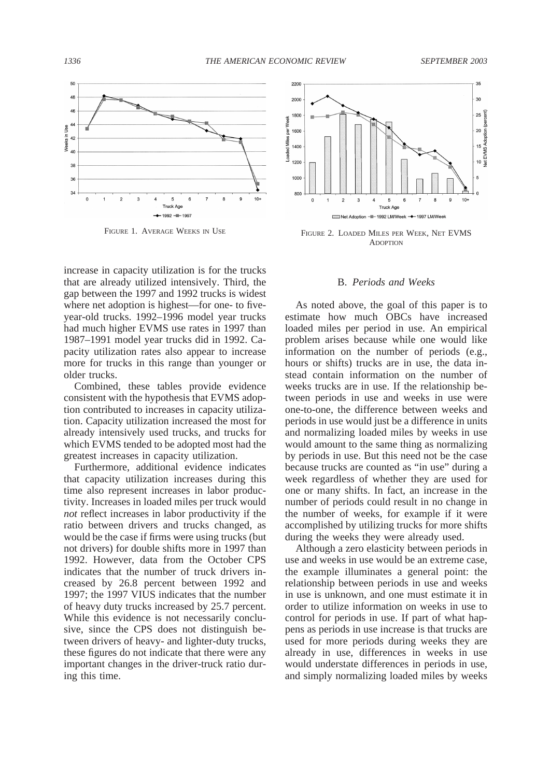

increase in capacity utilization is for the trucks that are already utilized intensively. Third, the gap between the 1997 and 1992 trucks is widest where net adoption is highest—for one- to fiveyear-old trucks. 1992–1996 model year trucks had much higher EVMS use rates in 1997 than 1987–1991 model year trucks did in 1992. Capacity utilization rates also appear to increase more for trucks in this range than younger or older trucks.

Combined, these tables provide evidence consistent with the hypothesis that EVMS adoption contributed to increases in capacity utilization. Capacity utilization increased the most for already intensively used trucks, and trucks for which EVMS tended to be adopted most had the greatest increases in capacity utilization.

Furthermore, additional evidence indicates that capacity utilization increases during this time also represent increases in labor productivity. Increases in loaded miles per truck would *not* reflect increases in labor productivity if the ratio between drivers and trucks changed, as would be the case if firms were using trucks (but not drivers) for double shifts more in 1997 than 1992. However, data from the October CPS indicates that the number of truck drivers increased by 26.8 percent between 1992 and 1997; the 1997 VIUS indicates that the number of heavy duty trucks increased by 25.7 percent. While this evidence is not necessarily conclusive, since the CPS does not distinguish between drivers of heavy- and lighter-duty trucks, these figures do not indicate that there were any important changes in the driver-truck ratio during this time.



FIGURE 1. AVERAGE WEEKS IN USE FIGURE 2. LOADED MILES PER WEEK, NET EVMS **ADOPTION** 

## B. *Periods and Weeks*

As noted above, the goal of this paper is to estimate how much OBCs have increased loaded miles per period in use. An empirical problem arises because while one would like information on the number of periods (e.g., hours or shifts) trucks are in use, the data instead contain information on the number of weeks trucks are in use. If the relationship between periods in use and weeks in use were one-to-one, the difference between weeks and periods in use would just be a difference in units and normalizing loaded miles by weeks in use would amount to the same thing as normalizing by periods in use. But this need not be the case because trucks are counted as "in use" during a week regardless of whether they are used for one or many shifts. In fact, an increase in the number of periods could result in no change in the number of weeks, for example if it were accomplished by utilizing trucks for more shifts during the weeks they were already used.

Although a zero elasticity between periods in use and weeks in use would be an extreme case, the example illuminates a general point: the relationship between periods in use and weeks in use is unknown, and one must estimate it in order to utilize information on weeks in use to control for periods in use. If part of what happens as periods in use increase is that trucks are used for more periods during weeks they are already in use, differences in weeks in use would understate differences in periods in use, and simply normalizing loaded miles by weeks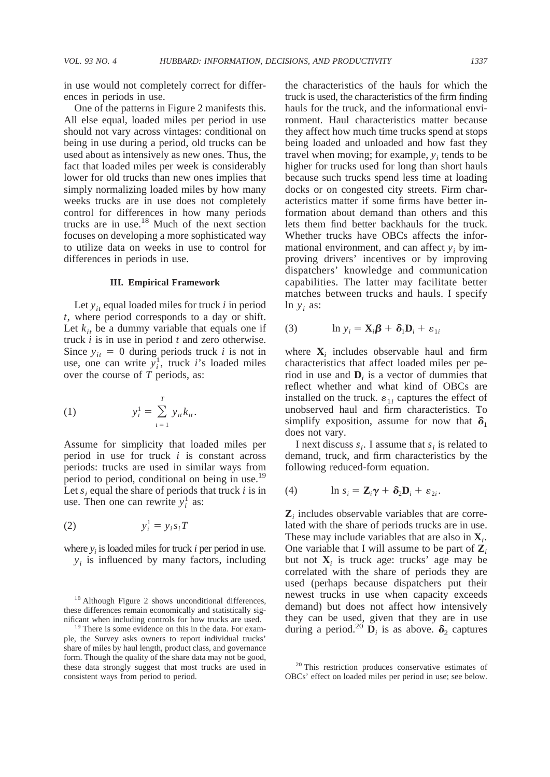in use would not completely correct for differences in periods in use.

One of the patterns in Figure 2 manifests this. All else equal, loaded miles per period in use should not vary across vintages: conditional on being in use during a period, old trucks can be used about as intensively as new ones. Thus, the fact that loaded miles per week is considerably lower for old trucks than new ones implies that simply normalizing loaded miles by how many weeks trucks are in use does not completely control for differences in how many periods trucks are in use.18 Much of the next section focuses on developing a more sophisticated way to utilize data on weeks in use to control for differences in periods in use.

#### **III. Empirical Framework**

Let  $y_i$  equal loaded miles for truck *i* in period *t*, where period corresponds to a day or shift. Let  $k_{it}$  be a dummy variable that equals one if truck *i* is in use in period *t* and zero otherwise. Since  $y_{it} = 0$  during periods truck *i* is not in use, one can write  $y_i^1$ , truck *i*'s loaded miles over the course of *T* periods, as:

(1) 
$$
y_i^1 = \sum_{t=1}^T y_{it} k_{it}
$$
.

Assume for simplicity that loaded miles per period in use for truck *i* is constant across periods: trucks are used in similar ways from period to period, conditional on being in use.<sup>19</sup> Let  $s_i$  equal the share of periods that truck  $i$  is in use. Then one can rewrite  $y_i^1$  as:

$$
(2) \t y_i^1 = y_i s_i T
$$

where *yi* is loaded miles for truck *i* per period in use.  $y_i$  is influenced by many factors, including

<sup>18</sup> Although Figure 2 shows unconditional differences, these differences remain economically and statistically significant when including controls for how trucks are used.

the characteristics of the hauls for which the truck is used, the characteristics of the firm finding hauls for the truck, and the informational environment. Haul characteristics matter because they affect how much time trucks spend at stops being loaded and unloaded and how fast they travel when moving; for example,  $y_i$  tends to be higher for trucks used for long than short hauls because such trucks spend less time at loading docks or on congested city streets. Firm characteristics matter if some firms have better information about demand than others and this lets them find better backhauls for the truck. Whether trucks have OBCs affects the informational environment, and can affect  $y_i$  by improving drivers' incentives or by improving dispatchers' knowledge and communication capabilities. The latter may facilitate better matches between trucks and hauls. I specify ln *yi* as:

(3) 
$$
\ln y_i = \mathbf{X}_i \boldsymbol{\beta} + \boldsymbol{\delta}_1 \mathbf{D}_i + \boldsymbol{\varepsilon}_{1i}
$$

where  $X_i$  includes observable haul and firm characteristics that affect loaded miles per period in use and **D***<sup>i</sup>* is a vector of dummies that reflect whether and what kind of OBCs are installed on the truck.  $\varepsilon_{1i}$  captures the effect of unobserved haul and firm characteristics. To simplify exposition, assume for now that  $\delta_1$ does not vary.

I next discuss  $s_i$ . I assume that  $s_i$  is related to demand, truck, and firm characteristics by the following reduced-form equation.

$$
(4) \qquad \qquad \ln s_i = \mathbf{Z}_i \boldsymbol{\gamma} + \boldsymbol{\delta}_2 \mathbf{D}_i + \boldsymbol{\varepsilon}_{2i}.
$$

**Z***<sup>i</sup>* includes observable variables that are correlated with the share of periods trucks are in use. These may include variables that are also in  $X_i$ . One variable that I will assume to be part of **Z***<sup>i</sup>* but not  $X_i$  is truck age: trucks' age may be correlated with the share of periods they are used (perhaps because dispatchers put their newest trucks in use when capacity exceeds demand) but does not affect how intensively they can be used, given that they are in use during a period.<sup>20</sup>  $\mathbf{D}_i$  is as above.  $\delta_2$  captures

<sup>&</sup>lt;sup>19</sup> There is some evidence on this in the data. For example, the Survey asks owners to report individual trucks' share of miles by haul length, product class, and governance form. Though the quality of the share data may not be good, these data strongly suggest that most trucks are used in consistent ways from period to period.

<sup>20</sup> This restriction produces conservative estimates of OBCs' effect on loaded miles per period in use; see below.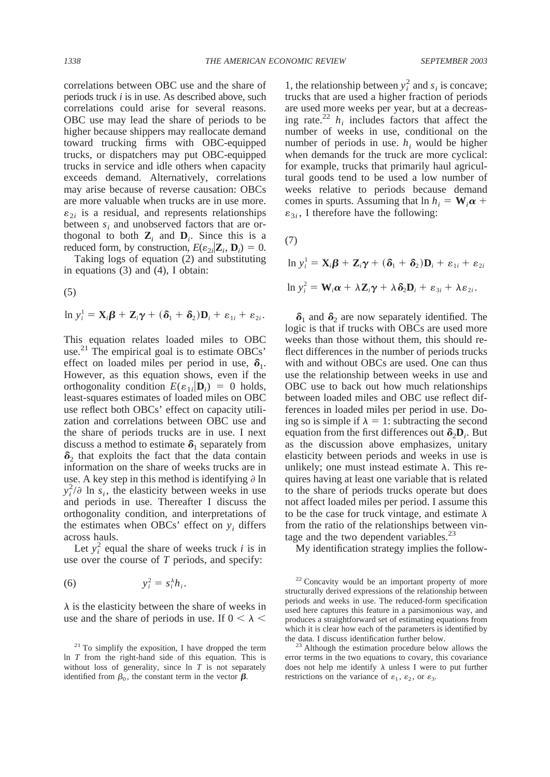correlations between OBC use and the share of periods truck *i* is in use. As described above, such correlations could arise for several reasons. OBC use may lead the share of periods to be higher because shippers may reallocate demand toward trucking firms with OBC-equipped trucks, or dispatchers may put OBC-equipped trucks in service and idle others when capacity exceeds demand. Alternatively, correlations may arise because of reverse causation: OBCs are more valuable when trucks are in use more.  $\varepsilon_{2i}$  is a residual, and represents relationships between  $s_i$  and unobserved factors that are orthogonal to both  $\mathbf{Z}_i$  and  $\mathbf{D}_i$ . Since this is a reduced form, by construction,  $E(\varepsilon_{2i}|\mathbf{Z}_i, \mathbf{D}_i) = 0$ .

Taking logs of equation (2) and substituting in equations (3) and (4), I obtain:

(5)

 $\ln y_i^1 = \mathbf{X}_i \boldsymbol{\beta} + \mathbf{Z}_i \boldsymbol{\gamma} + (\boldsymbol{\delta}_1 + \boldsymbol{\delta}_2) \mathbf{D}_i + \boldsymbol{\varepsilon}_{1i} + \boldsymbol{\varepsilon}_{2i}.$ 

This equation relates loaded miles to OBC use.<sup>21</sup> The empirical goal is to estimate OBCs' effect on loaded miles per period in use,  $\delta_1$ . However, as this equation shows, even if the orthogonality condition  $E(\varepsilon_{1i}|\mathbf{D}_i) = 0$  holds, least-squares estimates of loaded miles on OBC use reflect both OBCs' effect on capacity utilization and correlations between OBC use and the share of periods trucks are in use. I next discuss a method to estimate  $\delta_1$  separately from  $\delta_2$  that exploits the fact that the data contain information on the share of weeks trucks are in use. A key step in this method is identifying  $\partial \ln \theta$  $y_i^2/\partial \ln s_i$ , the elasticity between weeks in use and periods in use. Thereafter I discuss the orthogonality condition, and interpretations of the estimates when OBCs' effect on  $y_i$  differs across hauls.

Let  $y_i^2$  equal the share of weeks truck *i* is in use over the course of *T* periods, and specify:

$$
(6) \t y_i^2 = s_i^{\lambda} h_i.
$$

 $\lambda$  is the elasticity between the share of weeks in use and the share of periods in use. If  $0 < \lambda <$ 

1, the relationship between  $y_i^2$  and  $s_i$  is concave; trucks that are used a higher fraction of periods are used more weeks per year, but at a decreasing rate.<sup>22</sup>  $h_i$  includes factors that affect the number of weeks in use, conditional on the number of periods in use.  $h_i$  would be higher when demands for the truck are more cyclical: for example, trucks that primarily haul agricultural goods tend to be used a low number of weeks relative to periods because demand comes in spurts. Assuming that  $\ln h_i = \mathbf{W}_i \boldsymbol{\alpha} + \mathbf{W}_i \boldsymbol{\alpha}$  $\varepsilon_{3i}$ , I therefore have the following:

(7)

$$
\ln y_i^1 = \mathbf{X}_i \boldsymbol{\beta} + \mathbf{Z}_i \boldsymbol{\gamma} + (\boldsymbol{\delta}_1 + \boldsymbol{\delta}_2) \mathbf{D}_i + \boldsymbol{\varepsilon}_{1i} + \boldsymbol{\varepsilon}_{2i}
$$
  

$$
\ln y_i^2 = \mathbf{W}_i \boldsymbol{\alpha} + \lambda \mathbf{Z}_i \boldsymbol{\gamma} + \lambda \boldsymbol{\delta}_2 \mathbf{D}_i + \boldsymbol{\varepsilon}_{3i} + \lambda \boldsymbol{\varepsilon}_{2i}.
$$

 $\delta_1$  and  $\delta_2$  are now separately identified. The logic is that if trucks with OBCs are used more weeks than those without them, this should reflect differences in the number of periods trucks with and without OBCs are used. One can thus use the relationship between weeks in use and OBC use to back out how much relationships between loaded miles and OBC use reflect differences in loaded miles per period in use. Doing so is simple if  $\lambda = 1$ : subtracting the second equation from the first differences out  $\delta_2 \mathbf{D}_i$ . But as the discussion above emphasizes, unitary elasticity between periods and weeks in use is unlikely; one must instead estimate  $\lambda$ . This requires having at least one variable that is related to the share of periods trucks operate but does not affect loaded miles per period. I assume this to be the case for truck vintage, and estimate  $\lambda$ from the ratio of the relationships between vintage and the two dependent variables. $23$ 

My identification strategy implies the follow-

<sup>22</sup> Concavity would be an important property of more structurally derived expressions of the relationship between periods and weeks in use. The reduced-form specification used here captures this feature in a parsimonious way, and produces a straightforward set of estimating equations from which it is clear how each of the parameters is identified by the data. I discuss identification further below.<br><sup>23</sup> Although the estimation procedure below allows the

error terms in the two equations to covary, this covariance does not help me identify  $\lambda$  unless I were to put further restrictions on the variance of  $\varepsilon_1$ ,  $\varepsilon_2$ , or  $\varepsilon_3$ .

 $21$  To simplify the exposition, I have dropped the term ln *T* from the right-hand side of this equation. This is without loss of generality, since ln *T* is not separately identified from  $\beta_0$ , the constant term in the vector  $\beta$ .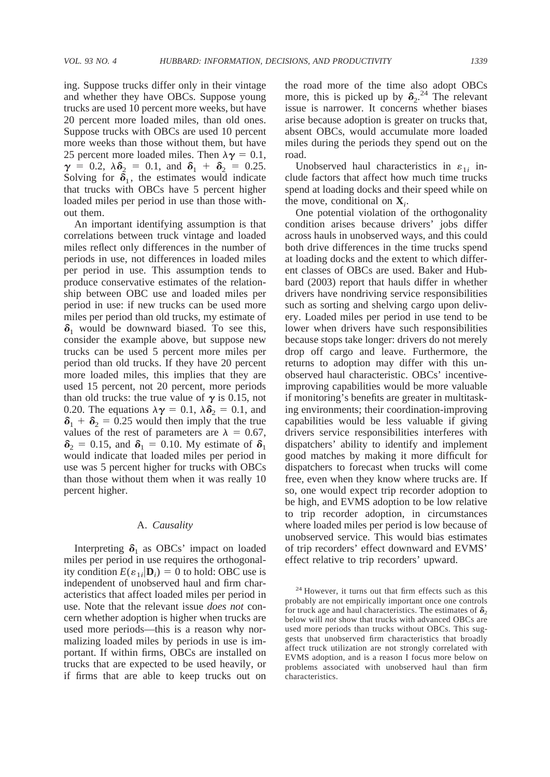ing. Suppose trucks differ only in their vintage and whether they have OBCs. Suppose young trucks are used 10 percent more weeks, but have 20 percent more loaded miles, than old ones. Suppose trucks with OBCs are used 10 percent more weeks than those without them, but have 25 percent more loaded miles. Then  $\lambda \gamma = 0.1$ ,  $\gamma = 0.2$ ,  $\lambda \delta_2 = 0.1$ , and  $\delta_1 + \delta_2 = 0.25$ . Solving for  $\delta_1$ , the estimates would indicate that trucks with OBCs have 5 percent higher loaded miles per period in use than those without them.

An important identifying assumption is that correlations between truck vintage and loaded miles reflect only differences in the number of periods in use, not differences in loaded miles per period in use. This assumption tends to produce conservative estimates of the relationship between OBC use and loaded miles per period in use: if new trucks can be used more miles per period than old trucks, my estimate of  $\delta_1$  would be downward biased. To see this, consider the example above, but suppose new trucks can be used 5 percent more miles per period than old trucks. If they have 20 percent more loaded miles, this implies that they are used 15 percent, not 20 percent, more periods than old trucks: the true value of  $\gamma$  is 0.15, not 0.20. The equations  $\lambda \gamma = 0.1$ ,  $\lambda \delta_2 = 0.1$ , and  $\delta_1 + \delta_2 = 0.25$  would then imply that the true values of the rest of parameters are  $\lambda = 0.67$ ,  $\delta_2 = 0.15$ , and  $\delta_1 = 0.10$ . My estimate of  $\delta_1$ would indicate that loaded miles per period in use was 5 percent higher for trucks with OBCs than those without them when it was really 10 percent higher.

## A. *Causality*

Interpreting  $\delta_1$  as OBCs' impact on loaded miles per period in use requires the orthogonality condition  $E(\varepsilon_{1i}|\mathbf{D}_i) = 0$  to hold: OBC use is independent of unobserved haul and firm characteristics that affect loaded miles per period in use. Note that the relevant issue *does not* concern whether adoption is higher when trucks are used more periods—this is a reason why normalizing loaded miles by periods in use is important. If within firms, OBCs are installed on trucks that are expected to be used heavily, or if firms that are able to keep trucks out on the road more of the time also adopt OBCs more, this is picked up by  $\delta_2$ .<sup>24</sup> The relevant issue is narrower. It concerns whether biases arise because adoption is greater on trucks that, absent OBCs, would accumulate more loaded miles during the periods they spend out on the road.

Unobserved haul characteristics in  $\varepsilon_{1i}$  include factors that affect how much time trucks spend at loading docks and their speed while on the move, conditional on  $\mathbf{X}_i$ .

One potential violation of the orthogonality condition arises because drivers' jobs differ across hauls in unobserved ways, and this could both drive differences in the time trucks spend at loading docks and the extent to which different classes of OBCs are used. Baker and Hubbard (2003) report that hauls differ in whether drivers have nondriving service responsibilities such as sorting and shelving cargo upon delivery. Loaded miles per period in use tend to be lower when drivers have such responsibilities because stops take longer: drivers do not merely drop off cargo and leave. Furthermore, the returns to adoption may differ with this unobserved haul characteristic. OBCs' incentiveimproving capabilities would be more valuable if monitoring's benefits are greater in multitasking environments; their coordination-improving capabilities would be less valuable if giving drivers service responsibilities interferes with dispatchers' ability to identify and implement good matches by making it more difficult for dispatchers to forecast when trucks will come free, even when they know where trucks are. If so, one would expect trip recorder adoption to be high, and EVMS adoption to be low relative to trip recorder adoption, in circumstances where loaded miles per period is low because of unobserved service. This would bias estimates of trip recorders' effect downward and EVMS' effect relative to trip recorders' upward.

 $24$  However, it turns out that firm effects such as this probably are not empirically important once one controls for truck age and haul characteristics. The estimates of  $\delta_2$ below will *not* show that trucks with advanced OBCs are used more periods than trucks without OBCs. This suggests that unobserved firm characteristics that broadly affect truck utilization are not strongly correlated with EVMS adoption, and is a reason I focus more below on problems associated with unobserved haul than firm characteristics.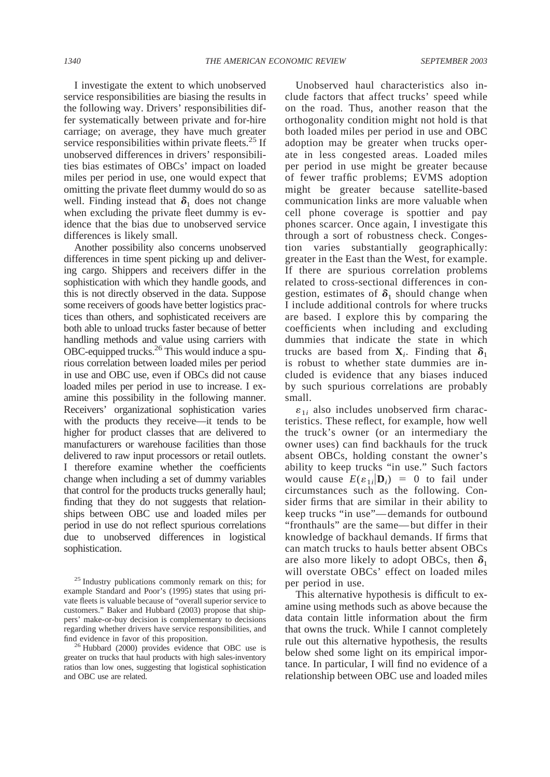I investigate the extent to which unobserved service responsibilities are biasing the results in the following way. Drivers' responsibilities differ systematically between private and for-hire carriage; on average, they have much greater service responsibilities within private fleets.<sup>25</sup> If unobserved differences in drivers' responsibilities bias estimates of OBCs' impact on loaded miles per period in use, one would expect that omitting the private fleet dummy would do so as well. Finding instead that  $\delta_1$  does not change when excluding the private fleet dummy is evidence that the bias due to unobserved service differences is likely small.

Another possibility also concerns unobserved differences in time spent picking up and delivering cargo. Shippers and receivers differ in the sophistication with which they handle goods, and this is not directly observed in the data. Suppose some receivers of goods have better logistics practices than others, and sophisticated receivers are both able to unload trucks faster because of better handling methods and value using carriers with OBC-equipped trucks.26 This would induce a spurious correlation between loaded miles per period in use and OBC use, even if OBCs did not cause loaded miles per period in use to increase. I examine this possibility in the following manner. Receivers' organizational sophistication varies with the products they receive—it tends to be higher for product classes that are delivered to manufacturers or warehouse facilities than those delivered to raw input processors or retail outlets. I therefore examine whether the coefficients change when including a set of dummy variables that control for the products trucks generally haul; finding that they do not suggests that relationships between OBC use and loaded miles per period in use do not reflect spurious correlations due to unobserved differences in logistical sophistication.

<sup>25</sup> Industry publications commonly remark on this; for example Standard and Poor's (1995) states that using private fleets is valuable because of "overall superior service to customers." Baker and Hubbard (2003) propose that shippers' make-or-buy decision is complementary to decisions regarding whether drivers have service responsibilities, and find evidence in favor of this proposition.

<sup>26</sup> Hubbard (2000) provides evidence that OBC use is greater on trucks that haul products with high sales-inventory ratios than low ones, suggesting that logistical sophistication and OBC use are related.

Unobserved haul characteristics also include factors that affect trucks' speed while on the road. Thus, another reason that the orthogonality condition might not hold is that both loaded miles per period in use and OBC adoption may be greater when trucks operate in less congested areas. Loaded miles per period in use might be greater because of fewer traffic problems; EVMS adoption might be greater because satellite-based communication links are more valuable when cell phone coverage is spottier and pay phones scarcer. Once again, I investigate this through a sort of robustness check. Congestion varies substantially geographically: greater in the East than the West, for example. If there are spurious correlation problems related to cross-sectional differences in congestion, estimates of  $\delta_1$  should change when I include additional controls for where trucks are based. I explore this by comparing the coefficients when including and excluding dummies that indicate the state in which trucks are based from  $X_i$ . Finding that  $\delta_1$ is robust to whether state dummies are included is evidence that any biases induced by such spurious correlations are probably small.

 $\varepsilon_{1i}$  also includes unobserved firm characteristics. These reflect, for example, how well the truck's owner (or an intermediary the owner uses) can find backhauls for the truck absent OBCs, holding constant the owner's ability to keep trucks "in use." Such factors would cause  $E(\varepsilon_{1i}|\mathbf{D}_i) = 0$  to fail under circumstances such as the following. Consider firms that are similar in their ability to keep trucks "in use"—demands for outbound "fronthauls" are the same—but differ in their knowledge of backhaul demands. If firms that can match trucks to hauls better absent OBCs are also more likely to adopt OBCs, then  $\delta_1$ will overstate OBCs' effect on loaded miles per period in use.

This alternative hypothesis is difficult to examine using methods such as above because the data contain little information about the firm that owns the truck. While I cannot completely rule out this alternative hypothesis, the results below shed some light on its empirical importance. In particular, I will find no evidence of a relationship between OBC use and loaded miles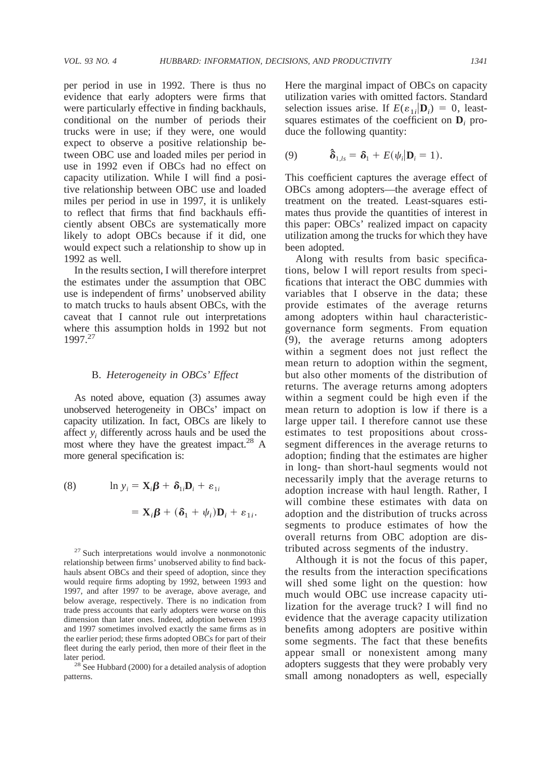per period in use in 1992. There is thus no evidence that early adopters were firms that were particularly effective in finding backhauls, conditional on the number of periods their trucks were in use; if they were, one would expect to observe a positive relationship between OBC use and loaded miles per period in use in 1992 even if OBCs had no effect on capacity utilization. While I will find a positive relationship between OBC use and loaded miles per period in use in 1997, it is unlikely to reflect that firms that find backhauls efficiently absent OBCs are systematically more likely to adopt OBCs because if it did, one would expect such a relationship to show up in 1992 as well.

In the results section, I will therefore interpret the estimates under the assumption that OBC use is independent of firms' unobserved ability to match trucks to hauls absent OBCs, with the caveat that I cannot rule out interpretations where this assumption holds in 1992 but not 1997.27

## B. *Heterogeneity in OBCs' Effect*

As noted above, equation (3) assumes away unobserved heterogeneity in OBCs' impact on capacity utilization. In fact, OBCs are likely to affect *yi* differently across hauls and be used the most where they have the greatest impact.<sup>28</sup> A more general specification is:

(8) 
$$
\ln y_i = \mathbf{X}_i \boldsymbol{\beta} + \delta_{1i} \mathbf{D}_i + \varepsilon_{1i}
$$

$$
= \mathbf{X}_i \boldsymbol{\beta} + (\delta_1 + \psi_i) \mathbf{D}_i + \varepsilon_{1i}.
$$

<sup>27</sup> Such interpretations would involve a nonmonotonic relationship between firms' unobserved ability to find backhauls absent OBCs and their speed of adoption, since they would require firms adopting by 1992, between 1993 and 1997, and after 1997 to be average, above average, and below average, respectively. There is no indication from trade press accounts that early adopters were worse on this dimension than later ones. Indeed, adoption between 1993 and 1997 sometimes involved exactly the same firms as in the earlier period; these firms adopted OBCs for part of their fleet during the early period, then more of their fleet in the later period. <sup>28</sup> See Hubbard (2000) for a detailed analysis of adoption

patterns.

Here the marginal impact of OBCs on capacity utilization varies with omitted factors. Standard selection issues arise. If  $E(\varepsilon_{1i}|\mathbf{D}_i) = 0$ , leastsquares estimates of the coefficient on **D***<sup>i</sup>* produce the following quantity:

$$
(9) \qquad \mathbf{\hat{\delta}}_{1,ls} = \mathbf{\delta}_1 + E(\psi_i | \mathbf{D}_i = 1).
$$

This coefficient captures the average effect of OBCs among adopters—the average effect of treatment on the treated. Least-squares estimates thus provide the quantities of interest in this paper: OBCs' realized impact on capacity utilization among the trucks for which they have been adopted.

Along with results from basic specifications, below I will report results from specifications that interact the OBC dummies with variables that I observe in the data; these provide estimates of the average returns among adopters within haul characteristicgovernance form segments. From equation (9), the average returns among adopters within a segment does not just reflect the mean return to adoption within the segment, but also other moments of the distribution of returns. The average returns among adopters within a segment could be high even if the mean return to adoption is low if there is a large upper tail. I therefore cannot use these estimates to test propositions about crosssegment differences in the average returns to adoption; finding that the estimates are higher in long- than short-haul segments would not necessarily imply that the average returns to adoption increase with haul length. Rather, I will combine these estimates with data on adoption and the distribution of trucks across segments to produce estimates of how the overall returns from OBC adoption are distributed across segments of the industry.

Although it is not the focus of this paper, the results from the interaction specifications will shed some light on the question: how much would OBC use increase capacity utilization for the average truck? I will find no evidence that the average capacity utilization benefits among adopters are positive within some segments. The fact that these benefits appear small or nonexistent among many adopters suggests that they were probably very small among nonadopters as well, especially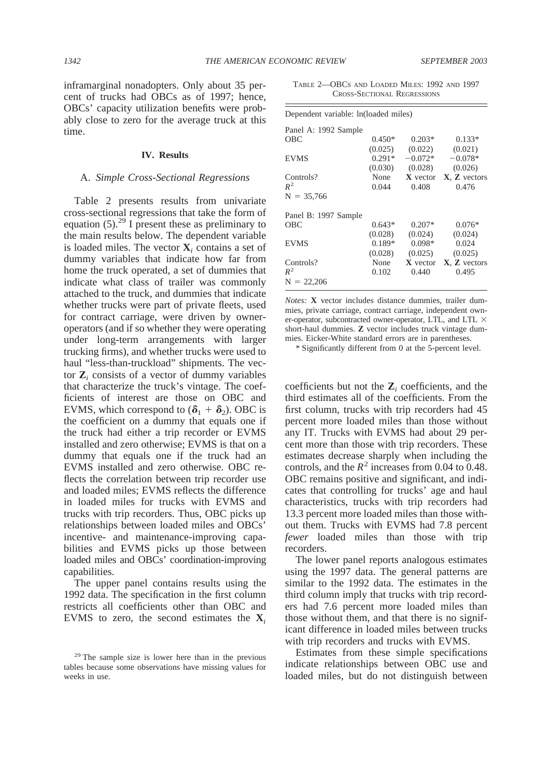inframarginal nonadopters. Only about 35 percent of trucks had OBCs as of 1997; hence, OBCs' capacity utilization benefits were probably close to zero for the average truck at this time.

#### **IV. Results**

#### A. *Simple Cross-Sectional Regressions*

Table 2 presents results from univariate cross-sectional regressions that take the form of equation  $(5)^{29}$  I present these as preliminary to the main results below. The dependent variable is loaded miles. The vector  $\mathbf{X}_i$  contains a set of dummy variables that indicate how far from home the truck operated, a set of dummies that indicate what class of trailer was commonly attached to the truck, and dummies that indicate whether trucks were part of private fleets, used for contract carriage, were driven by owneroperators (and if so whether they were operating under long-term arrangements with larger trucking firms), and whether trucks were used to haul "less-than-truckload" shipments. The vector **Z***<sup>i</sup>* consists of a vector of dummy variables that characterize the truck's vintage. The coefficients of interest are those on OBC and EVMS, which correspond to  $(\delta_1 + \delta_2)$ . OBC is the coefficient on a dummy that equals one if the truck had either a trip recorder or EVMS installed and zero otherwise; EVMS is that on a dummy that equals one if the truck had an EVMS installed and zero otherwise. OBC reflects the correlation between trip recorder use and loaded miles; EVMS reflects the difference in loaded miles for trucks with EVMS and trucks with trip recorders. Thus, OBC picks up relationships between loaded miles and OBCs' incentive- and maintenance-improving capabilities and EVMS picks up those between loaded miles and OBCs' coordination-improving capabilities.

The upper panel contains results using the 1992 data. The specification in the first column restricts all coefficients other than OBC and EVMS to zero, the second estimates the **X***<sup>i</sup>*

TABLE 2—OBCS AND LOADED MILES: 1992 AND 1997 CROSS-SECTIONAL REGRESSIONS

| Dependent variable: ln(loaded miles) |          |                     |                              |
|--------------------------------------|----------|---------------------|------------------------------|
| Panel A: 1992 Sample                 |          |                     |                              |
| OBC                                  | $0.450*$ | $0.203*$            | $0.133*$                     |
|                                      | (0.025)  | (0.022)             | (0.021)                      |
| <b>EVMS</b>                          | $0.291*$ | $-0.072*$           | $-0.078*$                    |
|                                      |          | $(0.030)$ $(0.028)$ | (0.026)                      |
| Controls?                            | None     |                     | $X$ vector $X$ , $Z$ vectors |
| $R^2$                                | 0.044    | 0.408               | 0.476                        |
| $N = 35,766$                         |          |                     |                              |
| Panel B: 1997 Sample                 |          |                     |                              |
| OBC                                  | $0.643*$ | $0.207*$            | $0.076*$                     |
|                                      | (0.028)  | (0.024)             | (0.024)                      |
| <b>EVMS</b>                          | $0.189*$ | $0.098*$            | 0.024                        |
|                                      | (0.028)  | (0.025)             | (0.025)                      |
| Controls?                            | None     | <b>X</b> vector     | X, Z vectors                 |
| $R^2$                                | 0.102    | 0.440               | 0.495                        |
| $N = 22,206$                         |          |                     |                              |
|                                      |          |                     |                              |

*Notes:* **X** vector includes distance dummies, trailer dummies, private carriage, contract carriage, independent owner-operator, subcontracted owner-operator, LTL, and LTL  $\times$ short-haul dummies. **Z** vector includes truck vintage dummies. Eicker-White standard errors are in parentheses.

\* Significantly different from 0 at the 5-percent level.

coefficients but not the  $\mathbf{Z}_i$  coefficients, and the third estimates all of the coefficients. From the first column, trucks with trip recorders had 45 percent more loaded miles than those without any IT. Trucks with EVMS had about 29 percent more than those with trip recorders. These estimates decrease sharply when including the controls, and the  $R^2$  increases from 0.04 to 0.48. OBC remains positive and significant, and indicates that controlling for trucks' age and haul characteristics, trucks with trip recorders had 13.3 percent more loaded miles than those without them. Trucks with EVMS had 7.8 percent *fewer* loaded miles than those with trip recorders.

The lower panel reports analogous estimates using the 1997 data. The general patterns are similar to the 1992 data. The estimates in the third column imply that trucks with trip recorders had 7.6 percent more loaded miles than those without them, and that there is no significant difference in loaded miles between trucks with trip recorders and trucks with EVMS.

Estimates from these simple specifications indicate relationships between OBC use and loaded miles, but do not distinguish between

 $29$  The sample size is lower here than in the previous tables because some observations have missing values for weeks in use.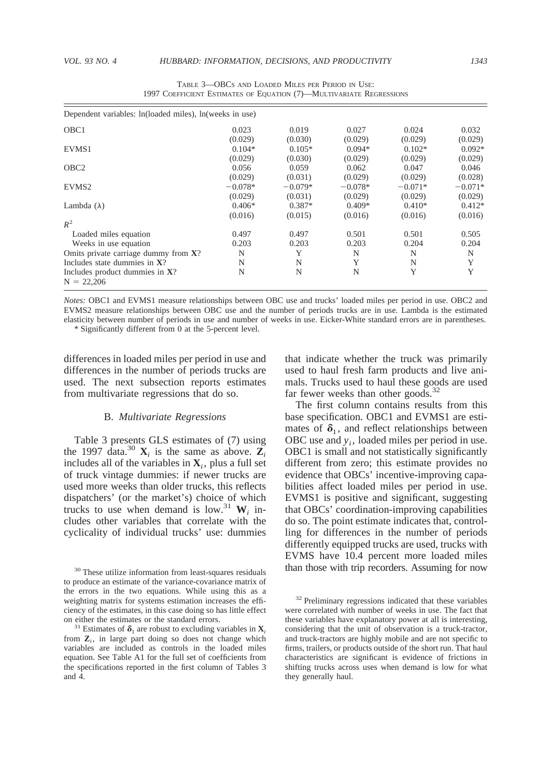| Dependent variables: ln(loaded miles), ln(weeks in use) |           |           |           |           |           |
|---------------------------------------------------------|-----------|-----------|-----------|-----------|-----------|
| OBC <sub>1</sub>                                        | 0.023     | 0.019     | 0.027     | 0.024     | 0.032     |
|                                                         | (0.029)   | (0.030)   | (0.029)   | (0.029)   | (0.029)   |
| EVMS1                                                   | $0.104*$  | $0.105*$  | $0.094*$  | $0.102*$  | $0.092*$  |
|                                                         | (0.029)   | (0.030)   | (0.029)   | (0.029)   | (0.029)   |
| OBC <sub>2</sub>                                        | 0.056     | 0.059     | 0.062     | 0.047     | 0.046     |
|                                                         | (0.029)   | (0.031)   | (0.029)   | (0.029)   | (0.028)   |
| EVMS <sub>2</sub>                                       | $-0.078*$ | $-0.079*$ | $-0.078*$ | $-0.071*$ | $-0.071*$ |
|                                                         | (0.029)   | (0.031)   | (0.029)   | (0.029)   | (0.029)   |
| Lambda $(\lambda)$                                      | $0.406*$  | $0.387*$  | $0.409*$  | $0.410*$  | $0.412*$  |
|                                                         | (0.016)   | (0.015)   | (0.016)   | (0.016)   | (0.016)   |
| $R^2$                                                   |           |           |           |           |           |
| Loaded miles equation                                   | 0.497     | 0.497     | 0.501     | 0.501     | 0.505     |
| Weeks in use equation                                   | 0.203     | 0.203     | 0.203     | 0.204     | 0.204     |
| Omits private carriage dummy from $X$ ?                 | N         | Y         | N         | N         | N         |
| Includes state dummies in $X$ ?                         | N         | N         | Y         | N         | Y         |
| Includes product dummies in $X$ ?<br>$N = 22,206$       | N         | N         | N         | Y         | Y         |
|                                                         |           |           |           |           |           |

TABLE 3—OBCS AND LOADED MILES PER PERIOD IN USE: 1997 COEFFICIENT ESTIMATES OF EQUATION (7)—MULTIVARIATE REGRESSIONS

*Notes:* OBC1 and EVMS1 measure relationships between OBC use and trucks' loaded miles per period in use. OBC2 and EVMS2 measure relationships between OBC use and the number of periods trucks are in use. Lambda is the estimated elasticity between number of periods in use and number of weeks in use. Eicker-White standard errors are in parentheses.

\* Significantly different from 0 at the 5-percent level.

differences in loaded miles per period in use and differences in the number of periods trucks are used. The next subsection reports estimates from multivariate regressions that do so.

#### B. *Multivariate Regressions*

Table 3 presents GLS estimates of (7) using the 1997 data.<sup>30</sup> **X**<sub>*i*</sub> is the same as above.  $\overrightarrow{\mathbf{Z}_i}$ includes all of the variables in  $X_i$ , plus a full set of truck vintage dummies: if newer trucks are used more weeks than older trucks, this reflects dispatchers' (or the market's) choice of which trucks to use when demand is low.<sup>31</sup>  $W_i$  includes other variables that correlate with the cyclicality of individual trucks' use: dummies that indicate whether the truck was primarily used to haul fresh farm products and live animals. Trucks used to haul these goods are used far fewer weeks than other goods.<sup>32</sup>

The first column contains results from this base specification. OBC1 and EVMS1 are estimates of  $\delta_1$ , and reflect relationships between OBC use and  $y_i$ , loaded miles per period in use. OBC1 is small and not statistically significantly different from zero; this estimate provides no evidence that OBCs' incentive-improving capabilities affect loaded miles per period in use. EVMS1 is positive and significant, suggesting that OBCs' coordination-improving capabilities do so. The point estimate indicates that, controlling for differences in the number of periods differently equipped trucks are used, trucks with EVMS have 10.4 percent more loaded miles <sup>30</sup> These utilize information from least-squares residuals than those with trip recorders. Assuming for now

to produce an estimate of the variance-covariance matrix of the errors in the two equations. While using this as a weighting matrix for systems estimation increases the efficiency of the estimates, in this case doing so has little effect

on either the estimates or the standard errors.<br><sup>31</sup> Estimates of  $\delta_1$  are robust to excluding variables in  $\mathbf{X}_i$ from  $\mathbf{Z}_i$ , in large part doing so does not change which variables are included as controls in the loaded miles equation. See Table A1 for the full set of coefficients from the specifications reported in the first column of Tables 3 and 4.

<sup>&</sup>lt;sup>32</sup> Preliminary regressions indicated that these variables were correlated with number of weeks in use. The fact that these variables have explanatory power at all is interesting, considering that the unit of observation is a truck-tractor, and truck-tractors are highly mobile and are not specific to firms, trailers, or products outside of the short run. That haul characteristics are significant is evidence of frictions in shifting trucks across uses when demand is low for what they generally haul.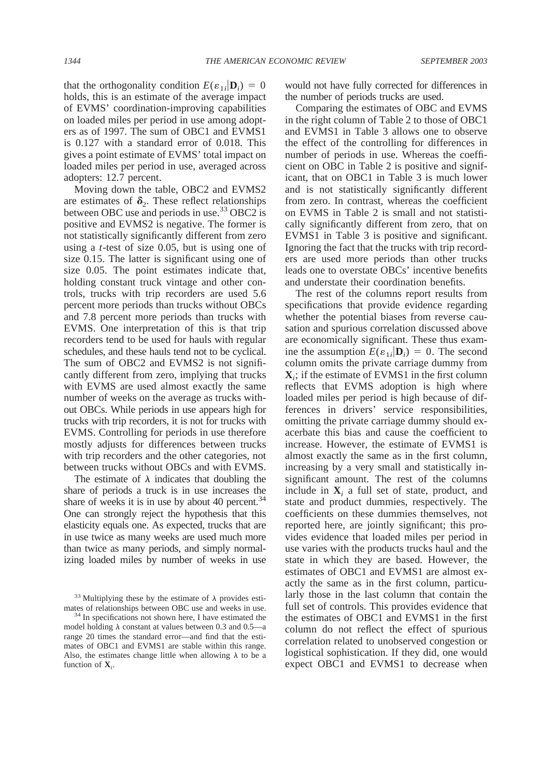that the orthogonality condition  $E(\varepsilon_{1i}|\mathbf{D}_i) = 0$ holds, this is an estimate of the average impact of EVMS' coordination-improving capabilities on loaded miles per period in use among adopters as of 1997. The sum of OBC1 and EVMS1 is 0.127 with a standard error of 0.018. This gives a point estimate of EVMS' total impact on loaded miles per period in use, averaged across adopters: 12.7 percent.

Moving down the table, OBC2 and EVMS2 are estimates of  $\delta_2$ . These reflect relationships between OBC use and periods in use.<sup>33</sup> OBC2 is positive and EVMS2 is negative. The former is not statistically significantly different from zero using a *t*-test of size 0.05, but is using one of size 0.15. The latter is significant using one of size 0.05. The point estimates indicate that, holding constant truck vintage and other controls, trucks with trip recorders are used 5.6 percent more periods than trucks without OBCs and 7.8 percent more periods than trucks with EVMS. One interpretation of this is that trip recorders tend to be used for hauls with regular schedules, and these hauls tend not to be cyclical. The sum of OBC2 and EVMS2 is not significantly different from zero, implying that trucks with EVMS are used almost exactly the same number of weeks on the average as trucks without OBCs. While periods in use appears high for trucks with trip recorders, it is not for trucks with EVMS. Controlling for periods in use therefore mostly adjusts for differences between trucks with trip recorders and the other categories, not between trucks without OBCs and with EVMS.

The estimate of  $\lambda$  indicates that doubling the share of periods a truck is in use increases the share of weeks it is in use by about 40 percent. $34$ One can strongly reject the hypothesis that this elasticity equals one. As expected, trucks that are in use twice as many weeks are used much more than twice as many periods, and simply normalizing loaded miles by number of weeks in use

 $33$  Multiplying these by the estimate of  $\lambda$  provides estimates of relationships between OBC use and weeks in use. <sup>34</sup> In specifications not shown here, I have estimated the

model holding  $\lambda$  constant at values between 0.3 and 0.5—a range 20 times the standard error—and find that the estimates of OBC1 and EVMS1 are stable within this range. Also, the estimates change little when allowing  $\lambda$  to be a function of  $\mathbf{X}_i$ .

would not have fully corrected for differences in the number of periods trucks are used.

Comparing the estimates of OBC and EVMS in the right column of Table 2 to those of OBC1 and EVMS1 in Table 3 allows one to observe the effect of the controlling for differences in number of periods in use. Whereas the coefficient on OBC in Table 2 is positive and significant, that on OBC1 in Table 3 is much lower and is not statistically significantly different from zero. In contrast, whereas the coefficient on EVMS in Table 2 is small and not statistically significantly different from zero, that on EVMS1 in Table 3 is positive and significant. Ignoring the fact that the trucks with trip recorders are used more periods than other trucks leads one to overstate OBCs' incentive benefits and understate their coordination benefits.

The rest of the columns report results from specifications that provide evidence regarding whether the potential biases from reverse causation and spurious correlation discussed above are economically significant. These thus examine the assumption  $E(\varepsilon_{1i}|\mathbf{D}_i) = 0$ . The second column omits the private carriage dummy from  $\mathbf{X}_i$ ; if the estimate of EVMS1 in the first column reflects that EVMS adoption is high where loaded miles per period is high because of differences in drivers' service responsibilities, omitting the private carriage dummy should exacerbate this bias and cause the coefficient to increase. However, the estimate of EVMS1 is almost exactly the same as in the first column, increasing by a very small and statistically insignificant amount. The rest of the columns include in  $X_i$  a full set of state, product, and state and product dummies, respectively. The coefficients on these dummies themselves, not reported here, are jointly significant; this provides evidence that loaded miles per period in use varies with the products trucks haul and the state in which they are based. However, the estimates of OBC1 and EVMS1 are almost exactly the same as in the first column, particularly those in the last column that contain the full set of controls. This provides evidence that the estimates of OBC1 and EVMS1 in the first column do not reflect the effect of spurious correlation related to unobserved congestion or logistical sophistication. If they did, one would expect OBC1 and EVMS1 to decrease when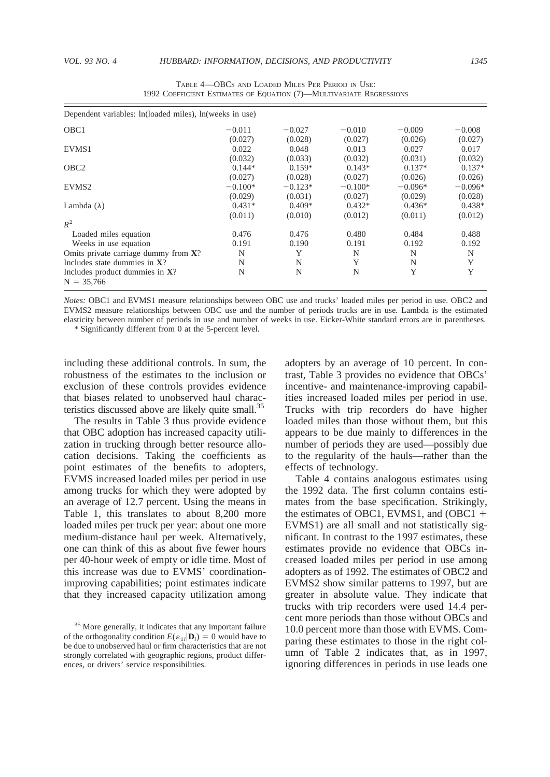| Dependent variables: ln(loaded miles), ln(weeks in use) |           |           |           |           |           |
|---------------------------------------------------------|-----------|-----------|-----------|-----------|-----------|
| OBC <sub>1</sub>                                        | $-0.011$  | $-0.027$  | $-0.010$  | $-0.009$  | $-0.008$  |
|                                                         | (0.027)   | (0.028)   | (0.027)   | (0.026)   | (0.027)   |
| EVMS1                                                   | 0.022     | 0.048     | 0.013     | 0.027     | 0.017     |
|                                                         | (0.032)   | (0.033)   | (0.032)   | (0.031)   | (0.032)   |
| OBC <sub>2</sub>                                        | $0.144*$  | $0.159*$  | $0.143*$  | $0.137*$  | $0.137*$  |
|                                                         | (0.027)   | (0.028)   | (0.027)   | (0.026)   | (0.026)   |
| EVMS <sub>2</sub>                                       | $-0.100*$ | $-0.123*$ | $-0.100*$ | $-0.096*$ | $-0.096*$ |
|                                                         | (0.029)   | (0.031)   | (0.027)   | (0.029)   | (0.028)   |
| Lambda $(\lambda)$                                      | $0.431*$  | $0.409*$  | $0.432*$  | $0.436*$  | $0.438*$  |
|                                                         | (0.011)   | (0.010)   | (0.012)   | (0.011)   | (0.012)   |
| $R^2$                                                   |           |           |           |           |           |
| Loaded miles equation                                   | 0.476     | 0.476     | 0.480     | 0.484     | 0.488     |
| Weeks in use equation                                   | 0.191     | 0.190     | 0.191     | 0.192     | 0.192     |
| Omits private carriage dummy from $X$ ?                 | N         | Y         | N         | N         | N         |
| Includes state dummies in $X$ ?                         | N         | N         | Y         | N         | Y         |
| Includes product dummies in $X$ ?<br>$N = 35,766$       | N         | N         | N         | Y         | Y         |
|                                                         |           |           |           |           |           |

TABLE 4—OBCS AND LOADED MILES PER PERIOD IN USE: 1992 COEFFICIENT ESTIMATES OF EQUATION (7)—MULTIVARIATE REGRESSIONS

*Notes:* OBC1 and EVMS1 measure relationships between OBC use and trucks' loaded miles per period in use. OBC2 and EVMS2 measure relationships between OBC use and the number of periods trucks are in use. Lambda is the estimated elasticity between number of periods in use and number of weeks in use. Eicker-White standard errors are in parentheses.

\* Significantly different from 0 at the 5-percent level.

including these additional controls. In sum, the robustness of the estimates to the inclusion or exclusion of these controls provides evidence that biases related to unobserved haul characteristics discussed above are likely quite small.<sup>35</sup>

The results in Table 3 thus provide evidence that OBC adoption has increased capacity utilization in trucking through better resource allocation decisions. Taking the coefficients as point estimates of the benefits to adopters, EVMS increased loaded miles per period in use among trucks for which they were adopted by an average of 12.7 percent. Using the means in Table 1, this translates to about 8,200 more loaded miles per truck per year: about one more medium-distance haul per week. Alternatively, one can think of this as about five fewer hours per 40-hour week of empty or idle time. Most of this increase was due to EVMS' coordinationimproving capabilities; point estimates indicate that they increased capacity utilization among

adopters by an average of 10 percent. In contrast, Table 3 provides no evidence that OBCs' incentive- and maintenance-improving capabilities increased loaded miles per period in use. Trucks with trip recorders do have higher loaded miles than those without them, but this appears to be due mainly to differences in the number of periods they are used—possibly due to the regularity of the hauls—rather than the effects of technology.

Table 4 contains analogous estimates using the 1992 data. The first column contains estimates from the base specification. Strikingly, the estimates of OBC1, EVMS1, and  $(OBC1 +$ EVMS1) are all small and not statistically significant. In contrast to the 1997 estimates, these estimates provide no evidence that OBCs increased loaded miles per period in use among adopters as of 1992. The estimates of OBC2 and EVMS2 show similar patterns to 1997, but are greater in absolute value. They indicate that trucks with trip recorders were used 14.4 percent more periods than those without OBCs and 10.0 percent more than those with EVMS. Comparing these estimates to those in the right column of Table 2 indicates that, as in 1997, ignoring differences in periods in use leads one

<sup>35</sup> More generally, it indicates that any important failure of the orthogonality condition  $E(\varepsilon_{1i}|\mathbf{D}_i) = 0$  would have to be due to unobserved haul or firm characteristics that are not strongly correlated with geographic regions, product differences, or drivers' service responsibilities.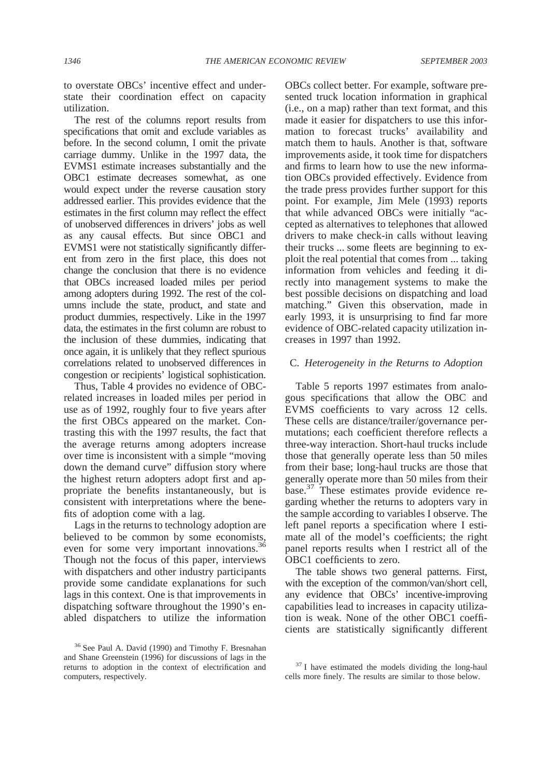to overstate OBCs' incentive effect and understate their coordination effect on capacity utilization.

The rest of the columns report results from specifications that omit and exclude variables as before. In the second column, I omit the private carriage dummy. Unlike in the 1997 data, the EVMS1 estimate increases substantially and the OBC1 estimate decreases somewhat, as one would expect under the reverse causation story addressed earlier. This provides evidence that the estimates in the first column may reflect the effect of unobserved differences in drivers' jobs as well as any causal effects. But since OBC1 and EVMS1 were not statistically significantly different from zero in the first place, this does not change the conclusion that there is no evidence that OBCs increased loaded miles per period among adopters during 1992. The rest of the columns include the state, product, and state and product dummies, respectively. Like in the 1997 data, the estimates in the first column are robust to the inclusion of these dummies, indicating that once again, it is unlikely that they reflect spurious correlations related to unobserved differences in congestion or recipients' logistical sophistication.

Thus, Table 4 provides no evidence of OBCrelated increases in loaded miles per period in use as of 1992, roughly four to five years after the first OBCs appeared on the market. Contrasting this with the 1997 results, the fact that the average returns among adopters increase over time is inconsistent with a simple "moving down the demand curve" diffusion story where the highest return adopters adopt first and appropriate the benefits instantaneously, but is consistent with interpretations where the benefits of adoption come with a lag.

Lags in the returns to technology adoption are believed to be common by some economists, even for some very important innovations.<sup>36</sup> Though not the focus of this paper, interviews with dispatchers and other industry participants provide some candidate explanations for such lags in this context. One is that improvements in dispatching software throughout the 1990's enabled dispatchers to utilize the information

OBCs collect better. For example, software presented truck location information in graphical (i.e., on a map) rather than text format, and this made it easier for dispatchers to use this information to forecast trucks' availability and match them to hauls. Another is that, software improvements aside, it took time for dispatchers and firms to learn how to use the new information OBCs provided effectively. Evidence from the trade press provides further support for this point. For example, Jim Mele (1993) reports that while advanced OBCs were initially "accepted as alternatives to telephones that allowed drivers to make check-in calls without leaving their trucks ... some fleets are beginning to exploit the real potential that comes from ... taking information from vehicles and feeding it directly into management systems to make the best possible decisions on dispatching and load matching." Given this observation, made in early 1993, it is unsurprising to find far more evidence of OBC-related capacity utilization increases in 1997 than 1992.

### C. *Heterogeneity in the Returns to Adoption*

Table 5 reports 1997 estimates from analogous specifications that allow the OBC and EVMS coefficients to vary across 12 cells. These cells are distance/trailer/governance permutations; each coefficient therefore reflects a three-way interaction. Short-haul trucks include those that generally operate less than 50 miles from their base; long-haul trucks are those that generally operate more than 50 miles from their base.37 These estimates provide evidence regarding whether the returns to adopters vary in the sample according to variables I observe. The left panel reports a specification where I estimate all of the model's coefficients; the right panel reports results when I restrict all of the OBC1 coefficients to zero.

The table shows two general patterns. First, with the exception of the common/van/short cell, any evidence that OBCs' incentive-improving capabilities lead to increases in capacity utilization is weak. None of the other OBC1 coefficients are statistically significantly different

<sup>36</sup> See Paul A. David (1990) and Timothy F. Bresnahan and Shane Greenstein (1996) for discussions of lags in the returns to adoption in the context of electrification and computers, respectively.

<sup>37</sup> I have estimated the models dividing the long-haul cells more finely. The results are similar to those below.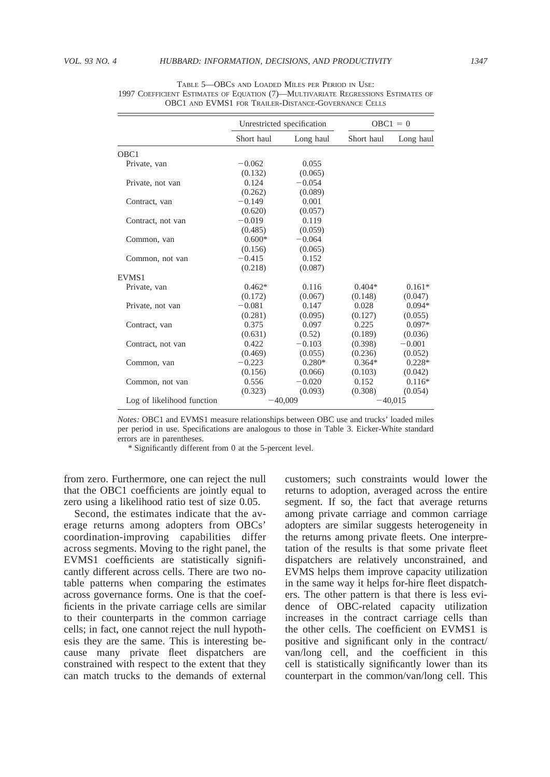|                            |            | Unrestricted specification |            | $OBC1 = 0$ |
|----------------------------|------------|----------------------------|------------|------------|
|                            | Short haul | Long haul                  | Short haul | Long haul  |
| OBC <sub>1</sub>           |            |                            |            |            |
| Private, van               | $-0.062$   | 0.055                      |            |            |
|                            | (0.132)    | (0.065)                    |            |            |
| Private, not van           | 0.124      | $-0.054$                   |            |            |
|                            | (0.262)    | (0.089)                    |            |            |
| Contract, van              | $-0.149$   | 0.001                      |            |            |
|                            | (0.620)    | (0.057)                    |            |            |
| Contract, not van          | $-0.019$   | 0.119                      |            |            |
|                            | (0.485)    | (0.059)                    |            |            |
| Common, van                | $0.600*$   | $-0.064$                   |            |            |
|                            | (0.156)    | (0.065)                    |            |            |
| Common, not van            | $-0.415$   | 0.152                      |            |            |
|                            | (0.218)    | (0.087)                    |            |            |
| EVMS1                      |            |                            |            |            |
| Private, van               | $0.462*$   | 0.116                      | $0.404*$   | $0.161*$   |
|                            | (0.172)    | (0.067)                    | (0.148)    | (0.047)    |
| Private, not van           | $-0.081$   | 0.147                      | 0.028      | $0.094*$   |
|                            | (0.281)    | (0.095)                    | (0.127)    | (0.055)    |
| Contract, van              | 0.375      | 0.097                      | 0.225      | $0.097*$   |
|                            | (0.631)    | (0.52)                     | (0.189)    | (0.036)    |
| Contract, not van          | 0.422      | $-0.103$                   | (0.398)    | $-0.001$   |
|                            | (0.469)    | (0.055)                    | (0.236)    | (0.052)    |
| Common, van                | $-0.223$   | $0.280*$                   | $0.364*$   | $0.228*$   |
|                            | (0.156)    | (0.066)                    | (0.103)    | (0.042)    |
| Common, not van            | 0.556      | $-0.020$                   | 0.152      | $0.116*$   |
|                            | (0.323)    | (0.093)                    | (0.308)    | (0.054)    |
| Log of likelihood function |            | $-40,009$                  | $-40.015$  |            |

| TABLE 5—OBCS AND LOADED MILES PER PERIOD IN USE:                                 |  |
|----------------------------------------------------------------------------------|--|
| 1997 COEFFICIENT ESTIMATES OF EQUATION (7)—MULTIVARIATE REGRESSIONS ESTIMATES OF |  |
| OBC1 AND EVMS1 FOR TRAILER-DISTANCE-GOVERNANCE CELLS                             |  |

*Notes:* OBC1 and EVMS1 measure relationships between OBC use and trucks' loaded miles per period in use. Specifications are analogous to those in Table 3. Eicker-White standard errors are in parentheses.

\* Significantly different from 0 at the 5-percent level.

from zero. Furthermore, one can reject the null that the OBC1 coefficients are jointly equal to zero using a likelihood ratio test of size 0.05.

Second, the estimates indicate that the average returns among adopters from OBCs' coordination-improving capabilities differ across segments. Moving to the right panel, the EVMS1 coefficients are statistically significantly different across cells. There are two notable patterns when comparing the estimates across governance forms. One is that the coefficients in the private carriage cells are similar to their counterparts in the common carriage cells; in fact, one cannot reject the null hypothesis they are the same. This is interesting because many private fleet dispatchers are constrained with respect to the extent that they can match trucks to the demands of external customers; such constraints would lower the returns to adoption, averaged across the entire segment. If so, the fact that average returns among private carriage and common carriage adopters are similar suggests heterogeneity in the returns among private fleets. One interpretation of the results is that some private fleet dispatchers are relatively unconstrained, and EVMS helps them improve capacity utilization in the same way it helps for-hire fleet dispatchers. The other pattern is that there is less evidence of OBC-related capacity utilization increases in the contract carriage cells than the other cells. The coefficient on EVMS1 is positive and significant only in the contract/ van/long cell, and the coefficient in this cell is statistically significantly lower than its counterpart in the common/van/long cell. This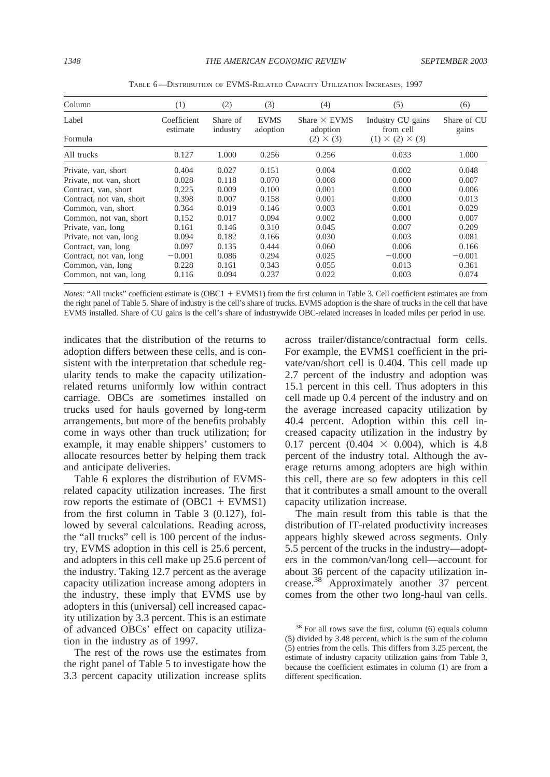| (1)                     | (2)                  | (3)                     | (4)                 | (5)                            | (6)                  |
|-------------------------|----------------------|-------------------------|---------------------|--------------------------------|----------------------|
| Coefficient<br>estimate | Share of<br>industry | <b>EVMS</b><br>adoption | Share $\times$ EVMS | Industry CU gains<br>from cell | Share of CU<br>gains |
|                         |                      |                         | $(2) \times (3)$    | $(1) \times (2) \times (3)$    |                      |
| 0.127                   | 1.000                | 0.256                   | 0.256               | 0.033                          | 1.000                |
| 0.404                   | 0.027                | 0.151                   | 0.004               | 0.002                          | 0.048                |
| 0.028                   | 0.118                | 0.070                   | 0.008               | 0.000                          | 0.007                |
| 0.225                   | 0.009                | 0.100                   | 0.001               | 0.000                          | 0.006                |
| 0.398                   | 0.007                | 0.158                   | 0.001               | 0.000                          | 0.013                |
| 0.364                   | 0.019                | 0.146                   | 0.003               | 0.001                          | 0.029                |
| 0.152                   | 0.017                | 0.094                   | 0.002               | 0.000                          | 0.007                |
| 0.161                   | 0.146                | 0.310                   | 0.045               | 0.007                          | 0.209                |
| 0.094                   | 0.182                | 0.166                   | 0.030               | 0.003                          | 0.081                |
| 0.097                   | 0.135                | 0.444                   | 0.060               | 0.006                          | 0.166                |
| $-0.001$                | 0.086                | 0.294                   | 0.025               | $-0.000$                       | $-0.001$             |
| 0.228                   | 0.161                | 0.343                   | 0.055               | 0.013                          | 0.361                |
| 0.116                   | 0.094                | 0.237                   | 0.022               | 0.003                          | 0.074                |
|                         |                      |                         |                     | adoption                       |                      |

TABLE 6—DISTRIBUTION OF EVMS-RELATED CAPACITY UTILIZATION INCREASES, 1997

*Notes:* "All trucks" coefficient estimate is (OBC1 + EVMS1) from the first column in Table 3. Cell coefficient estimates are from the right panel of Table 5. Share of industry is the cell's share of trucks. EVMS adoption is the share of trucks in the cell that have EVMS installed. Share of CU gains is the cell's share of industrywide OBC-related increases in loaded miles per period in use.

indicates that the distribution of the returns to adoption differs between these cells, and is consistent with the interpretation that schedule regularity tends to make the capacity utilizationrelated returns uniformly low within contract carriage. OBCs are sometimes installed on trucks used for hauls governed by long-term arrangements, but more of the benefits probably come in ways other than truck utilization; for example, it may enable shippers' customers to allocate resources better by helping them track and anticipate deliveries.

Table 6 explores the distribution of EVMSrelated capacity utilization increases. The first row reports the estimate of  $(OBC1 + EVMS1)$ from the first column in Table 3 (0.127), followed by several calculations. Reading across, the "all trucks" cell is 100 percent of the industry, EVMS adoption in this cell is 25.6 percent, and adopters in this cell make up 25.6 percent of the industry. Taking 12.7 percent as the average capacity utilization increase among adopters in the industry, these imply that EVMS use by adopters in this (universal) cell increased capacity utilization by 3.3 percent. This is an estimate of advanced OBCs' effect on capacity utilization in the industry as of 1997.

The rest of the rows use the estimates from the right panel of Table 5 to investigate how the 3.3 percent capacity utilization increase splits

across trailer/distance/contractual form cells. For example, the EVMS1 coefficient in the private/van/short cell is 0.404. This cell made up 2.7 percent of the industry and adoption was 15.1 percent in this cell. Thus adopters in this cell made up 0.4 percent of the industry and on the average increased capacity utilization by 40.4 percent. Adoption within this cell increased capacity utilization in the industry by 0.17 percent (0.404  $\times$  0.004), which is 4.8 percent of the industry total. Although the average returns among adopters are high within this cell, there are so few adopters in this cell that it contributes a small amount to the overall capacity utilization increase.

The main result from this table is that the distribution of IT-related productivity increases appears highly skewed across segments. Only 5.5 percent of the trucks in the industry—adopters in the common/van/long cell—account for about 36 percent of the capacity utilization increase.38 Approximately another 37 percent comes from the other two long-haul van cells.

<sup>&</sup>lt;sup>38</sup> For all rows save the first, column (6) equals column (5) divided by 3.48 percent, which is the sum of the column (5) entries from the cells. This differs from 3.25 percent, the estimate of industry capacity utilization gains from Table 3, because the coefficient estimates in column (1) are from a different specification.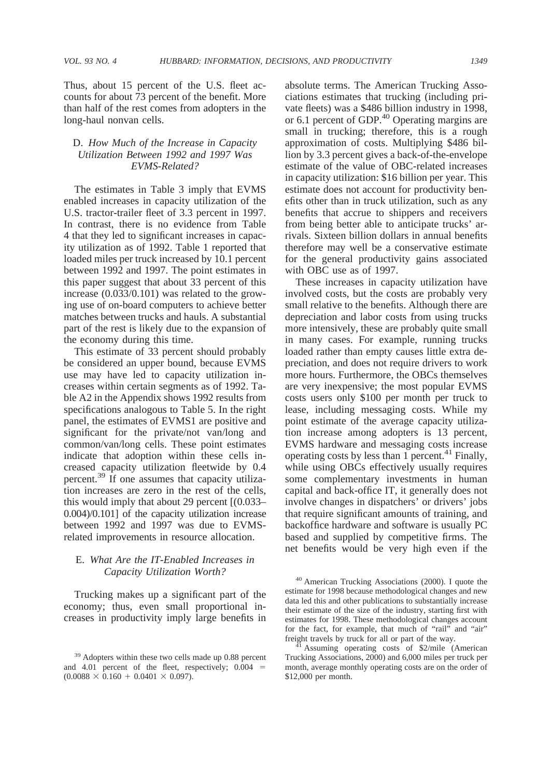Thus, about 15 percent of the U.S. fleet accounts for about 73 percent of the benefit. More than half of the rest comes from adopters in the long-haul nonvan cells.

# D. *How Much of the Increase in Capacity Utilization Between 1992 and 1997 Was EVMS-Related?*

The estimates in Table 3 imply that EVMS enabled increases in capacity utilization of the U.S. tractor-trailer fleet of 3.3 percent in 1997. In contrast, there is no evidence from Table 4 that they led to significant increases in capacity utilization as of 1992. Table 1 reported that loaded miles per truck increased by 10.1 percent between 1992 and 1997. The point estimates in this paper suggest that about 33 percent of this increase (0.033/0.101) was related to the growing use of on-board computers to achieve better matches between trucks and hauls. A substantial part of the rest is likely due to the expansion of the economy during this time.

This estimate of 33 percent should probably be considered an upper bound, because EVMS use may have led to capacity utilization increases within certain segments as of 1992. Table A2 in the Appendix shows 1992 results from specifications analogous to Table 5. In the right panel, the estimates of EVMS1 are positive and significant for the private/not van/long and common/van/long cells. These point estimates indicate that adoption within these cells increased capacity utilization fleetwide by 0.4 percent.39 If one assumes that capacity utilization increases are zero in the rest of the cells, this would imply that about 29 percent [(0.033– 0.004)/0.101] of the capacity utilization increase between 1992 and 1997 was due to EVMSrelated improvements in resource allocation.

# E. *What Are the IT-Enabled Increases in Capacity Utilization Worth?*

Trucking makes up a significant part of the economy; thus, even small proportional increases in productivity imply large benefits in absolute terms. The American Trucking Associations estimates that trucking (including private fleets) was a \$486 billion industry in 1998, or 6.1 percent of GDP.<sup>40</sup> Operating margins are small in trucking; therefore, this is a rough approximation of costs. Multiplying \$486 billion by 3.3 percent gives a back-of-the-envelope estimate of the value of OBC-related increases in capacity utilization: \$16 billion per year. This estimate does not account for productivity benefits other than in truck utilization, such as any benefits that accrue to shippers and receivers from being better able to anticipate trucks' arrivals. Sixteen billion dollars in annual benefits therefore may well be a conservative estimate for the general productivity gains associated with OBC use as of 1997.

These increases in capacity utilization have involved costs, but the costs are probably very small relative to the benefits. Although there are depreciation and labor costs from using trucks more intensively, these are probably quite small in many cases. For example, running trucks loaded rather than empty causes little extra depreciation, and does not require drivers to work more hours. Furthermore, the OBCs themselves are very inexpensive; the most popular EVMS costs users only \$100 per month per truck to lease, including messaging costs. While my point estimate of the average capacity utilization increase among adopters is 13 percent, EVMS hardware and messaging costs increase operating costs by less than 1 percent.<sup>41</sup> Finally, while using OBCs effectively usually requires some complementary investments in human capital and back-office IT, it generally does not involve changes in dispatchers' or drivers' jobs that require significant amounts of training, and backoffice hardware and software is usually PC based and supplied by competitive firms. The net benefits would be very high even if the

<sup>&</sup>lt;sup>39</sup> Adopters within these two cells made up 0.88 percent and  $4.01$  percent of the fleet, respectively;  $0.004$  =  $(0.0088 \times 0.160 + 0.0401 \times 0.097)$ .

<sup>40</sup> American Trucking Associations (2000). I quote the estimate for 1998 because methodological changes and new data led this and other publications to substantially increase their estimate of the size of the industry, starting first with estimates for 1998. These methodological changes account for the fact, for example, that much of "rail" and "air"

freight travels by truck for all or part of the way. <sup>41</sup> Assuming operating costs of \$2/mile (American Trucking Associations, 2000) and 6,000 miles per truck per month, average monthly operating costs are on the order of \$12,000 per month.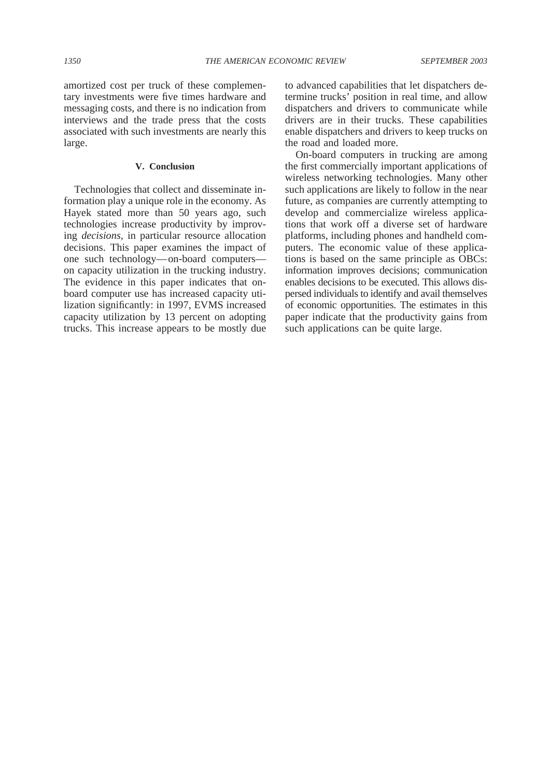amortized cost per truck of these complementary investments were five times hardware and messaging costs, and there is no indication from interviews and the trade press that the costs associated with such investments are nearly this large.

## **V. Conclusion**

Technologies that collect and disseminate information play a unique role in the economy. As Hayek stated more than 50 years ago, such technologies increase productivity by improving *decisions,* in particular resource allocation decisions. This paper examines the impact of one such technology—on-board computers on capacity utilization in the trucking industry. The evidence in this paper indicates that onboard computer use has increased capacity utilization significantly: in 1997, EVMS increased capacity utilization by 13 percent on adopting trucks. This increase appears to be mostly due

to advanced capabilities that let dispatchers determine trucks' position in real time, and allow dispatchers and drivers to communicate while drivers are in their trucks. These capabilities enable dispatchers and drivers to keep trucks on the road and loaded more.

On-board computers in trucking are among the first commercially important applications of wireless networking technologies. Many other such applications are likely to follow in the near future, as companies are currently attempting to develop and commercialize wireless applications that work off a diverse set of hardware platforms, including phones and handheld computers. The economic value of these applications is based on the same principle as OBCs: information improves decisions; communication enables decisions to be executed. This allows dispersed individuals to identify and avail themselves of economic opportunities. The estimates in this paper indicate that the productivity gains from such applications can be quite large.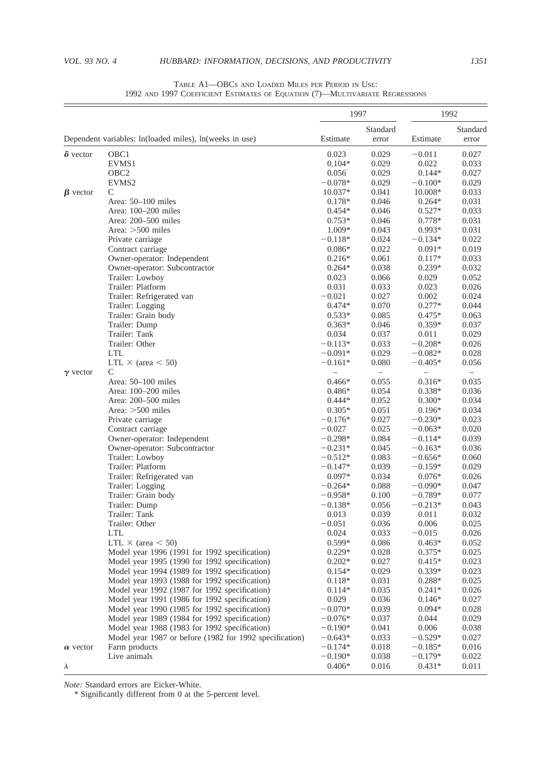|                 |                                                         |           | 1997     | 1992      |          |
|-----------------|---------------------------------------------------------|-----------|----------|-----------|----------|
|                 |                                                         |           | Standard |           | Standard |
|                 | Dependent variables: ln(loaded miles), ln(weeks in use) |           | error    | Estimate  | error    |
| $\delta$ vector | OBC <sub>1</sub>                                        | 0.023     | 0.029    | $-0.011$  | 0.027    |
|                 | EVMS1                                                   | $0.104*$  | 0.029    | 0.022     | 0.033    |
|                 | OBC <sub>2</sub>                                        | 0.056     | 0.029    | $0.144*$  | 0.027    |
|                 | EVMS <sub>2</sub>                                       | $-0.078*$ | 0.029    | $-0.100*$ | 0.029    |
| $\beta$ vector  | C                                                       | 10.037*   | 0.041    | $10.008*$ | 0.033    |
|                 | Area: $50-100$ miles                                    | $0.178*$  | 0.046    | $0.264*$  | 0.031    |
|                 | Area: 100-200 miles                                     | $0.454*$  | 0.046    | $0.527*$  | 0.033    |
|                 | Area: 200-500 miles                                     | $0.753*$  | 0.046    | $0.778*$  | 0.031    |
|                 | Area: $>500$ miles                                      | 1.009*    | 0.043    | $0.993*$  | 0.031    |
|                 | Private carriage                                        | $-0.118*$ | 0.024    | $-0.134*$ | 0.022    |
|                 | Contract carriage                                       | $0.086*$  | 0.022    | $0.091*$  | 0.019    |
|                 | Owner-operator: Independent                             | $0.216*$  | 0.061    | $0.117*$  | 0.033    |
|                 | Owner-operator: Subcontractor                           | $0.264*$  | 0.038    | $0.239*$  | 0.032    |
|                 | Trailer: Lowboy                                         | 0.023     | 0.066    | 0.029     | 0.052    |
|                 | Trailer: Platform                                       | 0.031     | 0.033    | 0.023     | 0.026    |
|                 | Trailer: Refrigerated van                               | $-0.021$  | 0.027    | 0.002     | 0.024    |
|                 | Trailer: Logging                                        | $0.474*$  | 0.070    | $0.277*$  | 0.044    |
|                 | Trailer: Grain body                                     | $0.533*$  | 0.085    | $0.475*$  | 0.063    |
|                 | Trailer: Dump                                           | $0.363*$  | 0.046    | $0.359*$  | 0.037    |
|                 | Trailer: Tank                                           | 0.034     | 0.037    | 0.011     | 0.029    |
|                 | Trailer: Other                                          | $-0.113*$ | 0.033    | $-0.208*$ | 0.026    |
|                 | LTL                                                     | $-0.091*$ | 0.029    | $-0.082*$ | 0.028    |
|                 | LTL $\times$ (area $<$ 50)<br>C                         | $-0.161*$ | 0.080    | $-0.405*$ | 0.056    |
| $\gamma$ vector |                                                         |           |          |           |          |
|                 | Area: 50-100 miles                                      | $0.466*$  | 0.055    | $0.316*$  | 0.035    |
|                 | Area: 100-200 miles                                     | $0.486*$  | 0.054    | $0.338*$  | 0.036    |
|                 | Area: 200-500 miles                                     | $0.444*$  | 0.052    | $0.300*$  | 0.034    |
|                 | Area: $>500$ miles                                      | $0.305*$  | 0.051    | $0.196*$  | 0.034    |
|                 | Private carriage                                        | $-0.176*$ | 0.027    | $-0.230*$ | 0.023    |
|                 | Contract carriage                                       | $-0.027$  | 0.025    | $-0.063*$ | 0.020    |
|                 | Owner-operator: Independent                             | $-0.298*$ | 0.084    | $-0.114*$ | 0.039    |
|                 | Owner-operator: Subcontractor                           | $-0.231*$ | 0.045    | $-0.163*$ | 0.036    |
|                 | Trailer: Lowboy                                         | $-0.512*$ | 0.083    | $-0.656*$ | 0.060    |
|                 | Trailer: Platform                                       | $-0.147*$ | 0.039    | $-0.159*$ | 0.029    |
|                 | Trailer: Refrigerated van                               | $0.097*$  | 0.034    | $0.076*$  | 0.026    |
|                 | Trailer: Logging                                        | $-0.264*$ | 0.088    | $-0.090*$ | 0.047    |
|                 | Trailer: Grain body                                     | $-0.958*$ | 0.100    | $-0.789*$ | 0.077    |
|                 | Trailer: Dump                                           | $-0.138*$ | 0.056    | $-0.213*$ | 0.043    |
|                 | Trailer: Tank                                           | 0.013     | 0.039    | 0.011     | 0.032    |
|                 | Trailer: Other                                          | $-0.051$  | 0.036    | 0.006     | 0.025    |
|                 | LTL                                                     | 0.024     | 0.033    | $-0.015$  | 0.026    |
|                 | LTL $\times$ (area $<$ 50)                              | $0.599*$  | 0.086    | $0.463*$  | 0.052    |
|                 | Model year 1996 (1991 for 1992 specification)           | $0.229*$  | 0.028    | $0.375*$  | 0.025    |
|                 | Model year 1995 (1990 for 1992 specification)           | $0.202*$  | 0.027    | $0.415*$  | 0.023    |
|                 | Model year 1994 (1989 for 1992 specification)           | $0.154*$  | 0.029    | $0.339*$  | 0.023    |
|                 | Model year 1993 (1988 for 1992 specification)           | $0.118\%$ | 0.031    | $0.288*$  | 0.025    |
|                 | Model year 1992 (1987 for 1992 specification)           | $0.114*$  | 0.035    | $0.241*$  | 0.026    |
|                 | Model year 1991 (1986 for 1992 specification)           | 0.029     | 0.036    | $0.146*$  | 0.027    |
|                 | Model year 1990 (1985 for 1992 specification)           | $-0.070*$ | 0.039    | $0.094*$  | 0.028    |
|                 | Model year 1989 (1984 for 1992 specification)           | $-0.076*$ | 0.037    | 0.044     | 0.029    |
|                 | Model year 1988 (1983 for 1992 specification)           | $-0.190*$ | 0.041    | 0.006     | 0.038    |
|                 | Model year 1987 or before (1982 for 1992 specification) | $-0.643*$ | 0.033    | $-0.529*$ | 0.027    |
| $\alpha$ vector | Farm products                                           | $-0.174*$ | 0.018    | $-0.185*$ | 0.016    |
|                 | Live animals                                            | $-0.190*$ | 0.038    | $-0.179*$ | 0.022    |
| λ               |                                                         | $0.406*$  | 0.016    | $0.431*$  | 0.011    |

TABLE A1—OBCS AND LOADED MILES PER PERIOD IN USE: 1992 AND 1997 COEFFICIENT ESTIMATES OF EQUATION (7)—MULTIVARIATE REGRESSIONS

*Note:* Standard errors are Eicker-White.

\* Significantly different from 0 at the 5-percent level.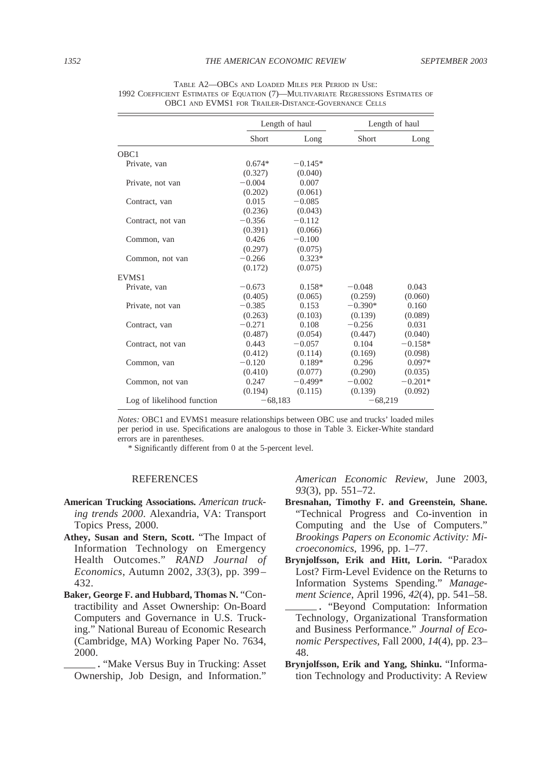|                            |           | Length of haul |           | Length of haul |
|----------------------------|-----------|----------------|-----------|----------------|
|                            | Short     | Long           | Short     | Long           |
| OBC <sub>1</sub>           |           |                |           |                |
| Private, van               | $0.674*$  | $-0.145*$      |           |                |
|                            | (0.327)   | (0.040)        |           |                |
| Private, not van           | $-0.004$  | 0.007          |           |                |
|                            | (0.202)   | (0.061)        |           |                |
| Contract, van              | 0.015     | $-0.085$       |           |                |
|                            | (0.236)   | (0.043)        |           |                |
| Contract, not van          | $-0.356$  | $-0.112$       |           |                |
|                            | (0.391)   | (0.066)        |           |                |
| Common, van                | 0.426     | $-0.100$       |           |                |
|                            | (0.297)   | (0.075)        |           |                |
| Common, not van            | $-0.266$  | $0.323*$       |           |                |
|                            | (0.172)   | (0.075)        |           |                |
| EVMS1                      |           |                |           |                |
| Private, van               | $-0.673$  | $0.158*$       | $-0.048$  | 0.043          |
|                            | (0.405)   | (0.065)        | (0.259)   | (0.060)        |
| Private, not van           | $-0.385$  | 0.153          | $-0.390*$ | 0.160          |
|                            | (0.263)   | (0.103)        | (0.139)   | (0.089)        |
| Contract, van              | $-0.271$  | 0.108          | $-0.256$  | 0.031          |
|                            | (0.487)   | (0.054)        | (0.447)   | (0.040)        |
| Contract, not van          | 0.443     | $-0.057$       | 0.104     | $-0.158*$      |
|                            | (0.412)   | (0.114)        | (0.169)   | (0.098)        |
| Common, van                | $-0.120$  | $0.189*$       | 0.296     | $0.097*$       |
|                            | (0.410)   | (0.077)        | (0.290)   | (0.035)        |
| Common, not van            | 0.247     | $-0.499*$      | $-0.002$  | $-0.201*$      |
|                            | (0.194)   | (0.115)        | (0.139)   | (0.092)        |
| Log of likelihood function | $-68,183$ |                | $-68,219$ |                |

| TABLE A2—OBCS AND LOADED MILES PER PERIOD IN USE:                                |
|----------------------------------------------------------------------------------|
| 1992 COEFFICIENT ESTIMATES OF EQUATION (7)—MULTIVARIATE REGRESSIONS ESTIMATES OF |
| OBC1 AND EVMS1 FOR TRAILER-DISTANCE-GOVERNANCE CELLS                             |

*Notes:* OBC1 and EVMS1 measure relationships between OBC use and trucks' loaded miles per period in use. Specifications are analogous to those in Table 3. Eicker-White standard errors are in parentheses.

\* Significantly different from 0 at the 5-percent level.

## **REFERENCES**

- **American Trucking Associations.** *American trucking trends 2000*. Alexandria, VA: Transport Topics Press, 2000.
- **Athey, Susan and Stern, Scott.** "The Impact of Information Technology on Emergency Health Outcomes." *RAND Journal of Economics*, Autumn 2002, *33*(3), pp. 399 – 432.
- **Baker, George F. and Hubbard, Thomas N.** "Contractibility and Asset Ownership: On-Board Computers and Governance in U.S. Trucking." National Bureau of Economic Research (Cambridge, MA) Working Paper No. 7634, 2000.
	- . "Make Versus Buy in Trucking: Asset Ownership, Job Design, and Information."

*American Economic Review*, June 2003, *93*(3), pp. 551–72.

- **Bresnahan, Timothy F. and Greenstein, Shane.** "Technical Progress and Co-invention in Computing and the Use of Computers." *Brookings Papers on Economic Activity: Microeconomics*, 1996, pp. 1–77.
- **Brynjolfsson, Erik and Hitt, Lorin.** "Paradox Lost? Firm-Level Evidence on the Returns to Information Systems Spending." *Management Science*, April 1996, *42*(4), pp. 541–58.
- **.** "Beyond Computation: Information Technology, Organizational Transformation and Business Performance." *Journal of Economic Perspectives*, Fall 2000, *14*(4), pp. 23– 48.
- **Brynjolfsson, Erik and Yang, Shinku.** "Information Technology and Productivity: A Review